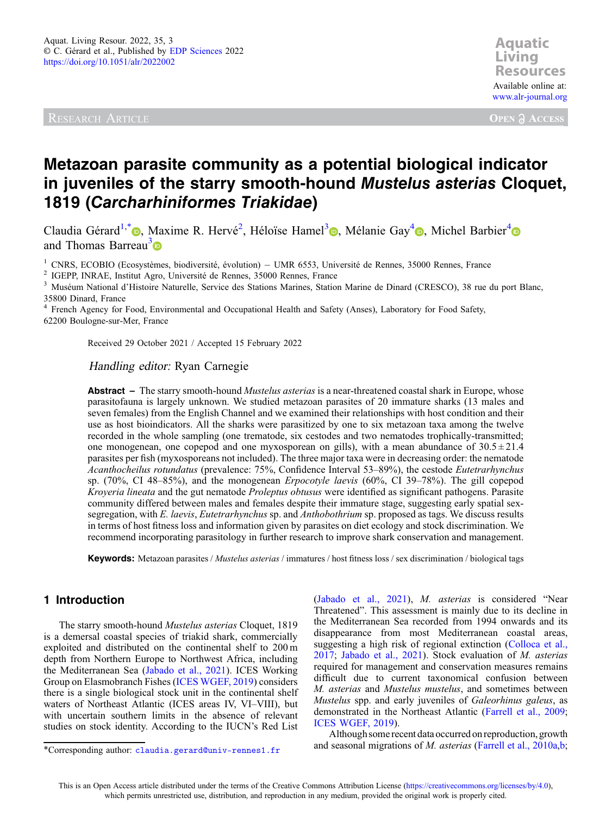RESEARCH ARTICLE

**Aquatic Resources Resources** Available online at: [www.alr-journal.org](https://www.alr-journal.org)

**OPEN A ACCESS** 

# Metazoan parasite community as a potential biological indicator in juveniles of the starry smooth-hound Mustelus asterias Cloquet, 1819 (Carcharhiniformes Triakidae)

Claudia Gérard<sup>1,[\\*](https://orcid.org/0000-0003-4541-7507)</sup> (a), Maxime R. Hervé<sup>2</sup>, Héloïse Hamel<sup>[3](https://orcid.org/0000-0001-8343-5007)</sup> (a)[,](https://orcid.org/0000-0002-4644-5270) Mélanie Gay<sup>4</sup> (a), Michel Barbier<sup>4</sup> and Thomas Barreau<sup>3</sup>

<sup>1</sup> CNRS, ECOBIO (Ecosystèmes, biodiversité, évolution) – UMR 6553, Université de Rennes, 35000 Rennes, France<br><sup>2</sup> IGEPP, INRAE, Institut Agro, Université de Rennes, 35000 Rennes, France<br><sup>3</sup> Muséum National d'Histoire Nat 35800 Dinard, France

<sup>4</sup> French Agency for Food, Environmental and Occupational Health and Safety (Anses), Laboratory for Food Safety, 62200 Boulogne-sur-Mer, France

Received 29 October 2021 / Accepted 15 February 2022

## Handling editor: Ryan Carnegie

Abstract – The starry smooth-hound *Mustelus asterias* is a near-threatened coastal shark in Europe, whose parasitofauna is largely unknown. We studied metazoan parasites of 20 immature sharks (13 males and seven females) from the English Channel and we examined their relationships with host condition and their use as host bioindicators. All the sharks were parasitized by one to six metazoan taxa among the twelve recorded in the whole sampling (one trematode, six cestodes and two nematodes trophically-transmitted; one monogenean, one copepod and one myxosporean on gills), with a mean abundance of  $30.5 \pm 21.4$ parasites per fish (myxosporeans not included). The three major taxa were in decreasing order: the nematode Acanthocheilus rotundatus (prevalence: 75%, Confidence Interval 53–89%), the cestode Eutetrarhynchus sp. (70%, CI 48–85%), and the monogenean Erpocotyle laevis (60%, CI 39–78%). The gill copepod Kroyeria lineata and the gut nematode Proleptus obtusus were identified as significant pathogens. Parasite community differed between males and females despite their immature stage, suggesting early spatial sexsegregation, with E. laevis, Eutetrarhynchus sp. and Anthobothrium sp. proposed as tags. We discuss results in terms of host fitness loss and information given by parasites on diet ecology and stock discrimination. We recommend incorporating parasitology in further research to improve shark conservation and management.

Keywords: Metazoan parasites / *Mustelus asterias* / immatures / host fitness loss / sex discrimination / biological tags

# 1 Introduction

The starry smooth-hound Mustelus asterias Cloquet, 1819 is a demersal coastal species of triakid shark, commercially exploited and distributed on the continental shelf to 200 m depth from Northern Europe to Northwest Africa, including the Mediterranean Sea ([Jabado et al., 2021](#page-12-0)). ICES Working Group on Elasmobranch Fishes ([ICES WGEF, 2019\)](#page-12-0) considers there is a single biological stock unit in the continental shelf waters of Northeast Atlantic (ICES areas IV, VI–VIII), but with uncertain southern limits in the absence of relevant studies on stock identity. According to the IUCN's Red List ([Jabado et al., 2021](#page-12-0)), M. asterias is considered "Near Threatened". This assessment is mainly due to its decline in the Mediterranean Sea recorded from 1994 onwards and its disappearance from most Mediterranean coastal areas, suggesting a high risk of regional extinction [\(Colloca et al.,](#page-11-0) [2017](#page-11-0); [Jabado et al., 2021\)](#page-12-0). Stock evaluation of M. asterias required for management and conservation measures remains difficult due to current taxonomical confusion between M. asterias and Mustelus mustelus, and sometimes between Mustelus spp. and early juveniles of Galeorhinus galeus, as demonstrated in the Northeast Atlantic ([Farrell et al., 2009;](#page-12-0) [ICES WGEF, 2019\)](#page-12-0).

Although some recent data occurred on reproduction, growth and seasonal migrations of *M. asterias* (Farrell et al., 2010a,b;

<sup>\*</sup>Corresponding author: [claudia.gerard@univ-rennes1.fr](mailto:claudia.gerard@univ-rennes1.fr)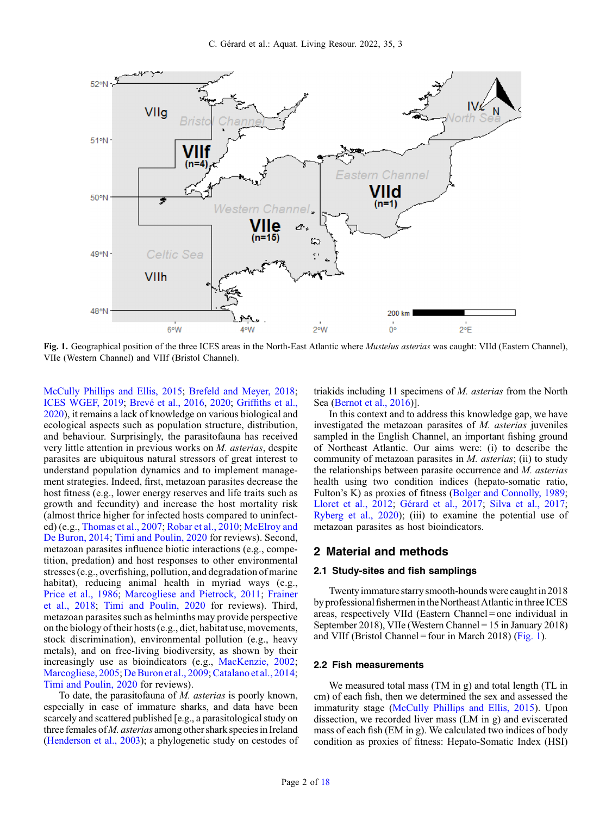

Fig. 1. Geographical position of the three ICES areas in the North-East Atlantic where *Mustelus asterias* was caught: VIId (Eastern Channel), VIIe (Western Channel) and VIIf (Bristol Channel).

[McCully Phillips and Ellis, 2015;](#page-13-0) [Brefeld and Meyer, 2018](#page-11-0); [ICES WGEF, 2019](#page-12-0); [Brevé et al., 2016,](#page-11-0) [2020](#page-11-0); Griffi[ths et al.,](#page-12-0) [2020](#page-12-0)), it remains a lack of knowledge on various biological and ecological aspects such as population structure, distribution, and behaviour. Surprisingly, the parasitofauna has received very little attention in previous works on M. asterias, despite parasites are ubiquitous natural stressors of great interest to understand population dynamics and to implement management strategies. Indeed, first, metazoan parasites decrease the host fitness (e.g., lower energy reserves and life traits such as growth and fecundity) and increase the host mortality risk (almost thrice higher for infected hosts compared to uninfected) (e.g., [Thomas et al., 2007;](#page-13-0) [Robar et al., 2010;](#page-13-0) [McElroy and](#page-13-0) [De Buron, 2014;](#page-13-0) [Timi and Poulin, 2020](#page-13-0) for reviews). Second, metazoan parasites influence biotic interactions (e.g., competition, predation) and host responses to other environmental stresses (e.g., overfishing, pollution, and degradation of marine habitat), reducing animal health in myriad ways (e.g., [Price et al., 1986;](#page-13-0) [Marcogliese and Pietrock, 2011;](#page-12-0) [Frainer](#page-12-0) [et al., 2018;](#page-12-0) [Timi and Poulin, 2020](#page-13-0) for reviews). Third, metazoan parasites such as helminths may provide perspective on the biology of their hosts (e.g., diet, habitat use, movements, stock discrimination), environmental pollution (e.g., heavy metals), and on free-living biodiversity, as shown by their increasingly use as bioindicators (e.g., [MacKenzie, 2002](#page-12-0); [Marcogliese, 2005;](#page-12-0) [De Buron et al., 2009](#page-11-0); [Catalano et al., 2014](#page-11-0); [Timi and Poulin, 2020](#page-13-0) for reviews).

To date, the parasitofauna of M. asterias is poorly known, especially in case of immature sharks, and data have been scarcely and scattered published [e.g., a parasitological study on three females of M. asterias among other shark species in Ireland ([Henderson et al., 2003\)](#page-12-0); a phylogenetic study on cestodes of triakids including 11 specimens of M. asterias from the North Sea ([Bernot et al., 2016\)](#page-11-0)].

In this context and to address this knowledge gap, we have investigated the metazoan parasites of M. asterias juveniles sampled in the English Channel, an important fishing ground of Northeast Atlantic. Our aims were: (i) to describe the community of metazoan parasites in M. asterias; (ii) to study the relationships between parasite occurrence and M. asterias health using two condition indices (hepato-somatic ratio, Fulton's K) as proxies of fitness ([Bolger and Connolly, 1989;](#page-11-0) [Lloret et al., 2012](#page-12-0); [Gérard et al., 2017;](#page-12-0) [Silva et al., 2017;](#page-13-0) [Ryberg et al., 2020](#page-13-0)); (iii) to examine the potential use of metazoan parasites as host bioindicators.

## 2 Material and methods

#### 2.1 Study-sites and fish samplings

Twenty immature starry smooth-hounds were caught in 2018 by professional fishermen in the Northeast Atlantic in three ICES areas, respectively VIId (Eastern Channel = one individual in September 2018), VIIe (Western Channel = 15 in January 2018) and VIIf (Bristol Channel = four in March 2018) (Fig. 1).

#### 2.2 Fish measurements

We measured total mass (TM in g) and total length (TL in cm) of each fish, then we determined the sex and assessed the immaturity stage [\(McCully Phillips and Ellis, 2015](#page-13-0)). Upon dissection, we recorded liver mass (LM in g) and eviscerated mass of each fish (EM in g). We calculated two indices of body condition as proxies of fitness: Hepato-Somatic Index (HSI)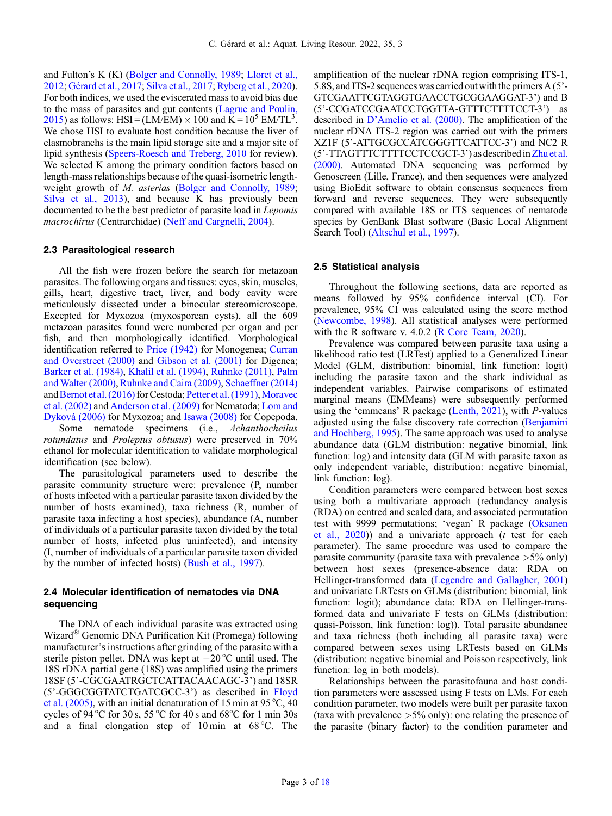and Fulton's K (K) ([Bolger and Connolly, 1989](#page-11-0); [Lloret et al.,](#page-12-0) [2012](#page-12-0); [Gérard et al., 2017](#page-12-0); [Silva et al., 2017;](#page-13-0) [Ryberg et al., 2020](#page-13-0)). For both indices, we used the eviscerated mass to avoid bias due to the mass of parasites and gut contents [\(Lagrue and Poulin,](#page-12-0) [2015](#page-12-0)) as follows: HSI =  $(LM/EM) \times 100$  and  $\overline{K} = 10^5$  EM/TL<sup>3</sup>. We chose HSI to evaluate host condition because the liver of elasmobranchs is the main lipid storage site and a major site of lipid synthesis ([Speers-Roesch and Treberg, 2010](#page-13-0) for review). We selected K among the primary condition factors based on length-mass relationships because of the quasi-isometric lengthweight growth of *M. asterias* ([Bolger and Connolly, 1989](#page-11-0); [Silva et al., 2013](#page-13-0)), and because K has previously been documented to be the best predictor of parasite load in Lepomis macrochirus (Centrarchidae) [\(Neff and Cargnelli, 2004](#page-13-0)).

#### 2.3 Parasitological research

All the fish were frozen before the search for metazoan parasites. The following organs and tissues: eyes, skin, muscles, gills, heart, digestive tract, liver, and body cavity were meticulously dissected under a binocular stereomicroscope. Excepted for Myxozoa (myxosporean cysts), all the 609 metazoan parasites found were numbered per organ and per fish, and then morphologically identified. Morphological identification referred to [Price \(1942\)](#page-13-0) for Monogenea; [Curran](#page-11-0) [and Overstreet \(2000\)](#page-11-0) and [Gibson et al. \(2001\)](#page-12-0) for Digenea; [Barker et al. \(1984\),](#page-11-0) [Khalil et al. \(1994\)](#page-12-0), [Ruhnke \(2011\)](#page-13-0), [Palm](#page-13-0) [and Walter \(2000\),](#page-13-0) [Ruhnke and Caira \(2009\),](#page-13-0) [Schaeffner \(2014\)](#page-13-0) and [Bernot et al. \(2016\)](#page-11-0) for Cestoda; [Petter et al. \(1991\)](#page-13-0), [Moravec](#page-13-0) [et al. \(2002\)](#page-13-0) and [Anderson et al. \(2009\)](#page-11-0) for Nematoda; [Lom and](#page-12-0) [Dyková \(2006\)](#page-12-0) for Myxozoa; and [Isawa \(2008\)](#page-12-0) for Copepoda.

Some nematode specimens (i.e., Achanthocheilus rotundatus and Proleptus obtusus) were preserved in 70% ethanol for molecular identification to validate morphological identification (see below).

The parasitological parameters used to describe the parasite community structure were: prevalence (P, number of hosts infected with a particular parasite taxon divided by the number of hosts examined), taxa richness (R, number of parasite taxa infecting a host species), abundance (A, number of individuals of a particular parasite taxon divided by the total number of hosts, infected plus uninfected), and intensity (I, number of individuals of a particular parasite taxon divided by the number of infected hosts) [\(Bush et al., 1997](#page-11-0)).

## 2.4 Molecular identification of nematodes via DNA sequencing

The DNA of each individual parasite was extracted using Wizard® Genomic DNA Purification Kit (Promega) following manufacturer's instructions after grinding of the parasite with a sterile piston pellet. DNA was kept at  $-20^{\circ}$ C until used. The 18S rDNA partial gene (18S) was amplified using the primers 18SF (5'-CGCGAATRGCTCATTACAACAGC-3') and 18SR (5'-GGGCGGTATCTGATCGCC-3') as described in [Floyd](#page-12-0) [et al. \(2005\)](#page-12-0), with an initial denaturation of 15 min at 95 °C, 40 cycles of 94 °C for 30 s, 55 °C for 40 s and 68 °C for 1 min 30s and a final elongation step of 10 min at 68 °C. The amplification of the nuclear rDNA region comprising ITS-1, 5.8S, and ITS-2 sequences was carried out with the primers A (5'-GTCGAATTCGTAGGTGAACCTGCGGAAGGAT-3') and B (5'-CCGATCCGAATCCTGGTTA-GTTTCTTTTCCT-3') as described in D'[Amelio et al. \(2000\).](#page-11-0) The amplification of the nuclear rDNA ITS-2 region was carried out with the primers XZ1F (5'-ATTGCGCCATCGGGTTCATTCC-3') and NC2 R (5'-TTAGTTTCTTTTCCTCCGCT-3') as describedin[Zhu et al.](#page-13-0) [\(2000\)](#page-13-0). Automated DNA sequencing was performed by Genoscreen (Lille, France), and then sequences were analyzed using BioEdit software to obtain consensus sequences from forward and reverse sequences. They were subsequently compared with available 18S or ITS sequences of nematode species by GenBank Blast software (Basic Local Alignment Search Tool) ([Altschul et al., 1997](#page-11-0)).

#### 2.5 Statistical analysis

Throughout the following sections, data are reported as means followed by 95% confidence interval (CI). For prevalence, 95% CI was calculated using the score method ([Newcombe, 1998\)](#page-13-0). All statistical analyses were performed with the R software v. 4.0.2 [\(R Core Team, 2020\)](#page-13-0).

Prevalence was compared between parasite taxa using a likelihood ratio test (LRTest) applied to a Generalized Linear Model (GLM, distribution: binomial, link function: logit) including the parasite taxon and the shark individual as independent variables. Pairwise comparisons of estimated marginal means (EMMeans) were subsequently performed using the 'emmeans' R package [\(Lenth, 2021\)](#page-12-0), with P-values adjusted using the false discovery rate correction [\(Benjamini](#page-11-0) [and Hochberg, 1995](#page-11-0)). The same approach was used to analyse abundance data (GLM distribution: negative binomial, link function: log) and intensity data (GLM with parasite taxon as only independent variable, distribution: negative binomial, link function: log).

Condition parameters were compared between host sexes using both a multivariate approach (redundancy analysis (RDA) on centred and scaled data, and associated permutation test with 9999 permutations; 'vegan' R package ([Oksanen](#page-13-0) [et al., 2020](#page-13-0))) and a univariate approach (t test for each parameter). The same procedure was used to compare the parasite community (parasite taxa with prevalence  $>5\%$  only) between host sexes (presence-absence data: RDA on Hellinger-transformed data [\(Legendre and Gallagher, 2001](#page-12-0)) and univariate LRTests on GLMs (distribution: binomial, link function: logit); abundance data: RDA on Hellinger-transformed data and univariate F tests on GLMs (distribution: quasi-Poisson, link function: log)). Total parasite abundance and taxa richness (both including all parasite taxa) were compared between sexes using LRTests based on GLMs (distribution: negative binomial and Poisson respectively, link function: log in both models).

Relationships between the parasitofauna and host condition parameters were assessed using F tests on LMs. For each condition parameter, two models were built per parasite taxon (taxa with prevalence  $>5\%$  only): one relating the presence of the parasite (binary factor) to the condition parameter and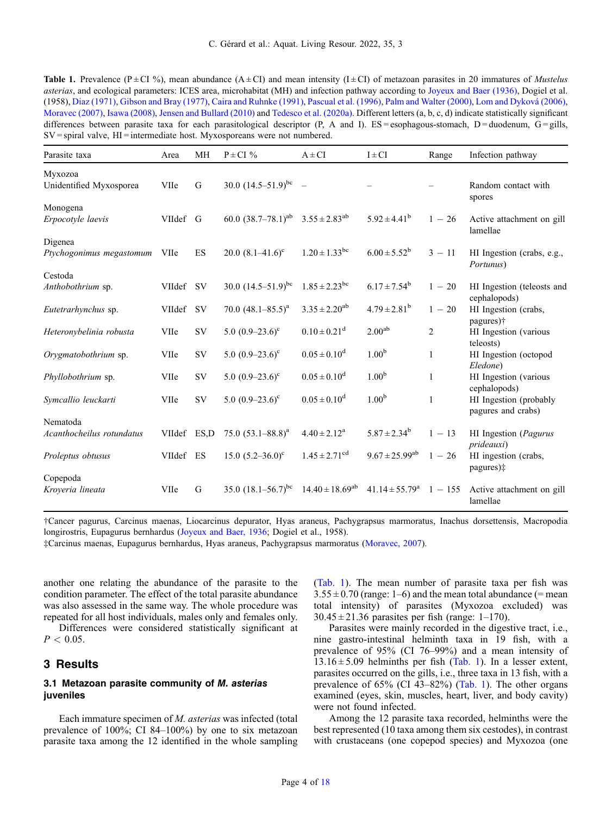<span id="page-3-0"></span>

| <b>Table 1.</b> Prevalence (P $\pm$ CI %), mean abundance (A $\pm$ CI) and mean intensity (I $\pm$ CI) of metazoan parasites in 20 immatures of <i>Mustelus</i> |
|-----------------------------------------------------------------------------------------------------------------------------------------------------------------|
| <i>asterias</i> , and ecological parameters: ICES area, microhabitat (MH) and infection pathway according to Joyeux and Baer (1936), Dogiel et al.              |
| (1958), Diaz (1971), Gibson and Bray (1977), Caira and Ruhnke (1991), Pascual et al. (1996), Palm and Walter (2000), Lom and Dyková (2006),                     |
| Moravec (2007), Isawa (2008), Jensen and Bullard (2010) and Tedesco et al. (2020a). Different letters (a, b, c, d) indicate statistically significant           |
| differences between parasite taxa for each parasitological descriptor $(P, A \text{ and } I)$ . ES=esophagous-stomach, D=duodenum, G=gills,                     |
| $SV$ = spiral valve, $HI$ = intermediate host. Myxosporeans were not numbered.                                                                                  |

| Parasite taxa                         | Area        | MH        | $P \pm CI$ %                                          | $A \pm CI$                    | $I \pm CI$                | Range          | Infection pathway                                           |
|---------------------------------------|-------------|-----------|-------------------------------------------------------|-------------------------------|---------------------------|----------------|-------------------------------------------------------------|
| Myxozoa<br>Unidentified Myxosporea    | VIIe        | G         | 30.0 $(14.5-51.9)^{bc}$ –                             |                               |                           |                | Random contact with<br>spores                               |
| Monogena<br>Erpocotyle laevis         | VIIdef G    |           | 60.0 $(38.7-78.1)^{ab}$ 3.55 $\pm$ 2.83 <sup>ab</sup> |                               | $5.92 \pm 4.41^b$         | $1 - 26$       | Active attachment on gill<br>lamellae                       |
| Digenea<br>Ptychogonimus megastomum   | VIIe        | ES        | 20.0 $(8.1 - 41.6)^c$                                 | $1.20 \pm 1.33$ <sup>bc</sup> | $6.00 \pm 5.52^b$         | $3 - 11$       | HI Ingestion (crabs, e.g.,<br>Portunus)                     |
| Cestoda<br>Anthobothrium sp.          | VIIdef SV   |           | 30.0 $(14.5-51.9)^{bc}$                               | $1.85 \pm 2.23$ <sup>bc</sup> | $6.17 \pm 7.54^b$         | $1 - 20$       | HI Ingestion (teleosts and<br>cephalopods)                  |
| Eutetrarhynchus sp.                   | VIIdef      | <b>SV</b> | 70.0 $(48.1 - 85.5)^a$                                | $3.35 \pm 2.20^{ab}$          | $4.79 \pm 2.81^b$         | $1 - 20$       | HI Ingestion (crabs,                                        |
| Heteronybelinia robusta               | VIIe        | <b>SV</b> | 5.0 $(0.9-23.6)^c$                                    | $0.10 \pm 0.21$ <sup>d</sup>  | 2.00 <sup>ab</sup>        | $\overline{2}$ | pagures) <sup>†</sup><br>HI Ingestion (various<br>teleosts) |
| Orygmatobothrium sp.                  | VIIe        | <b>SV</b> | 5.0 $(0.9-23.6)^c$                                    | $0.05 \pm 0.10^d$             | 1.00 <sup>b</sup>         | 1              | HI Ingestion (octopod                                       |
| Phyllobothrium sp.                    | VIIe        | SV        | 5.0 $(0.9-23.6)^c$                                    | $0.05 \pm 0.10^d$             | 1.00 <sup>b</sup>         | $\mathbf{1}$   | Eledone)<br>HI Ingestion (various<br>cephalopods)           |
| Symcallio leuckarti                   | VIIe        | <b>SV</b> | 5.0 $(0.9-23.6)^{\circ}$                              | $0.05 \pm 0.10^d$             | 1.00 <sup>b</sup>         | $\mathbf{1}$   | HI Ingestion (probably                                      |
| Nematoda<br>Acanthocheilus rotundatus | VIIdef ES,D |           | 75.0 $(53.1 - 88.8)^a$                                | $4.40 \pm 2.12^a$             | $5.87 \pm 2.34^b$         | $1 - 13$       | pagures and crabs)<br>HI Ingestion (Pagurus                 |
| Proleptus obtusus                     | VIIdef ES   |           | 15.0 $(5.2 - 36.0)^c$                                 | $1.45 \pm 2.71$ <sup>cd</sup> | $9.67 \pm 25.99^{ab}$     | $1 - 26$       | prideauxi)<br>HI ingestion (crabs,<br>pagures)‡             |
| Copepoda<br>Kroyeria lineata          | VIIe        | G         | 35.0 $(18.1 - 56.7)^{bc}$                             | $14.40 \pm 18.69^{ab}$        | $41.14 \pm 55.79^{\circ}$ | $1 - 155$      | Active attachment on gill<br>lamellae                       |

†Cancer pagurus, Carcinus maenas, Liocarcinus depurator, Hyas araneus, Pachygrapsus marmoratus, Inachus dorsettensis, Macropodia longirostris, Eupagurus bernhardus ([Joyeux and Baer, 1936;](#page-12-0) Dogiel et al., 1958).

‡Carcinus maenas, Eupagurus bernhardus, Hyas araneus, Pachygrapsus marmoratus ([Moravec, 2007\)](#page-13-0).

another one relating the abundance of the parasite to the condition parameter. The effect of the total parasite abundance was also assessed in the same way. The whole procedure was repeated for all host individuals, males only and females only.

Differences were considered statistically significant at  $P < 0.05$ .

# 3 Results

## 3.1 Metazoan parasite community of M. asterias juveniles

Each immature specimen of M. asterias was infected (total prevalence of 100%; CI 84–100%) by one to six metazoan parasite taxa among the 12 identified in the whole sampling (Tab. 1). The mean number of parasite taxa per fish was  $3.55 \pm 0.70$  (range: 1–6) and the mean total abundance (= mean total intensity) of parasites (Myxozoa excluded) was  $30.45 \pm 21.36$  parasites per fish (range: 1–170).

Parasites were mainly recorded in the digestive tract, i.e., nine gastro-intestinal helminth taxa in 19 fish, with a prevalence of 95% (CI 76–99%) and a mean intensity of  $13.16 \pm 5.09$  helminths per fish (Tab. 1). In a lesser extent, parasites occurred on the gills, i.e., three taxa in 13 fish, with a prevalence of  $65\%$  (CI 43–82%) (Tab. 1). The other organs examined (eyes, skin, muscles, heart, liver, and body cavity) were not found infected.

Among the 12 parasite taxa recorded, helminths were the best represented (10 taxa among them six cestodes), in contrast with crustaceans (one copepod species) and Myxozoa (one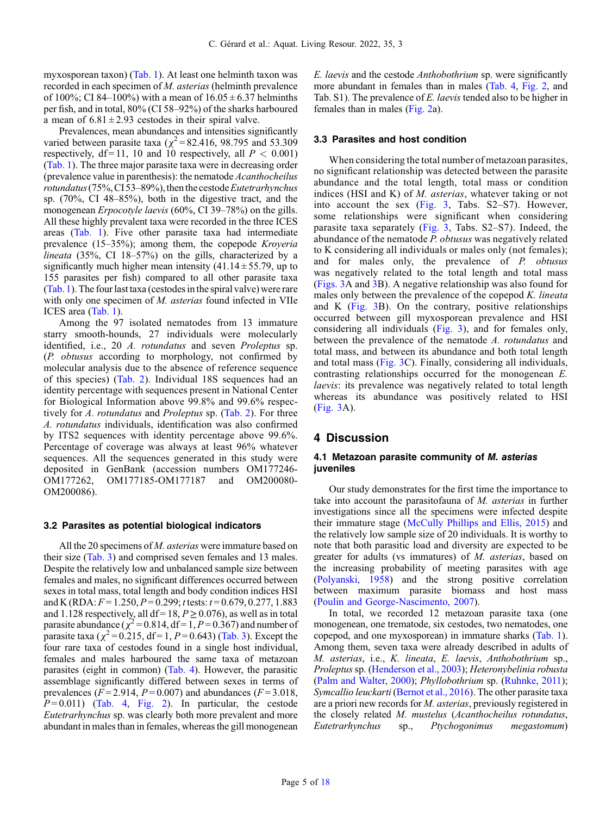myxosporean taxon) ([Tab. 1](#page-3-0)). At least one helminth taxon was recorded in each specimen of M. asterias (helminth prevalence of 100%; CI 84–100%) with a mean of  $16.05 \pm 6.37$  helminths per fish, and in total, 80% (CI 58–92%) of the sharks harboured a mean of  $6.81 \pm 2.93$  cestodes in their spiral valve.

Prevalences, mean abundances and intensities significantly varied between parasite taxa ( $\chi^2$  = 82.416, 98.795 and 53.309 respectively, df = 11, 10 and 10 respectively, all  $P < 0.001$ ) ([Tab. 1](#page-3-0)). The three major parasite taxa were in decreasing order (prevalence value in parenthesis): the nematode Acanthocheilus  $rotundatus$  (75%, CI 53–89%), then the cestode Eutetrarhynchus sp. (70%, CI 48–85%), both in the digestive tract, and the monogenean Erpocotyle laevis (60%, CI 39–78%) on the gills. All these highly prevalent taxa were recorded in the three ICES areas [\(Tab. 1](#page-3-0)). Five other parasite taxa had intermediate prevalence (15–35%); among them, the copepode Kroyeria lineata (35%, CI 18–57%) on the gills, characterized by a significantly much higher mean intensity  $(41.14 \pm 55.79)$ , up to 155 parasites per fish) compared to all other parasite taxa ([Tab. 1](#page-3-0)). The four last taxa (cestodes in the spiral valve) were rare with only one specimen of *M. asterias* found infected in VIIe ICES area [\(Tab. 1\)](#page-3-0).

Among the 97 isolated nematodes from 13 immature starry smooth-hounds, 27 individuals were molecularly identified, i.e., 20 A. rotundatus and seven Proleptus sp. (P. obtusus according to morphology, not confirmed by molecular analysis due to the absence of reference sequence of this species) ([Tab. 2\)](#page-5-0). Individual 18S sequences had an identity percentage with sequences present in National Center for Biological Information above 99.8% and 99.6% respectively for A. *rotundatus* and *Proleptus* sp. [\(Tab. 2\)](#page-5-0). For three A. rotundatus individuals, identification was also confirmed by ITS2 sequences with identity percentage above 99.6%. Percentage of coverage was always at least 96% whatever sequences. All the sequences generated in this study were deposited in GenBank (accession numbers OM177246- OM177262, OM177185-OM177187 and OM200080- OM200086).

#### 3.2 Parasites as potential biological indicators

All the 20 specimens of *M. asterias* were immature based on their size ([Tab. 3](#page-6-0)) and comprised seven females and 13 males. Despite the relatively low and unbalanced sample size between females and males, no significant differences occurred between sexes in total mass, total length and body condition indices HSI and K (RDA:  $F = 1.250$ ,  $P = 0.299$ ; t tests:  $t = 0.679$ , 0.277, 1.883 and 1.128 respectively, all df = 18,  $P \ge 0.076$ ), as well as in total parasite abundance  $(\chi^2 = 0.814, df = 1, P = 0.367)$  and number of parasite taxa ( $\chi^2$  = 0.215, df = 1, P = 0.643) ([Tab. 3\)](#page-6-0). Except the four rare taxa of cestodes found in a single host individual, females and males harboured the same taxa of metazoan parasites (eight in common) ([Tab. 4](#page-6-0)). However, the parasitic assemblage significantly differed between sexes in terms of prevalences ( $F = 2.914$ ,  $P = 0.007$ ) and abundances ( $F = 3.018$ ,  $P=0.011$ ) ([Tab. 4,](#page-6-0) [Fig. 2\)](#page-7-0). In particular, the cestode Eutetrarhynchus sp. was clearly both more prevalent and more abundant in males than in females, whereas the gill monogenean E. laevis and the cestode Anthobothrium sp. were significantly more abundant in females than in males [\(Tab. 4](#page-6-0), [Fig. 2](#page-7-0), and Tab. S1). The prevalence of E. laevis tended also to be higher in females than in males ([Fig. 2](#page-7-0)a).

#### 3.3 Parasites and host condition

When considering the total number of metazoan parasites, no significant relationship was detected between the parasite abundance and the total length, total mass or condition indices (HSI and K) of M. asterias, whatever taking or not into account the sex ([Fig. 3,](#page-8-0) Tabs. S2–S7). However, some relationships were significant when considering parasite taxa separately  $(Fig. 3, \text{Tabs. } S2-S7)$  $(Fig. 3, \text{Tabs. } S2-S7)$  $(Fig. 3, \text{Tabs. } S2-S7)$ . Indeed, the abundance of the nematode P. obtusus was negatively related to K considering all individuals or males only (not females); and for males only, the prevalence of P. obtusus was negatively related to the total length and total mass ([Figs. 3](#page-8-0)A and [3B](#page-8-0)). A negative relationship was also found for males only between the prevalence of the copepod K. lineata and K ([Fig. 3](#page-8-0)B). On the contrary, positive relationships occurred between gill myxosporean prevalence and HSI considering all individuals ([Fig. 3\)](#page-8-0), and for females only, between the prevalence of the nematode A. rotundatus and total mass, and between its abundance and both total length and total mass ([Fig. 3C](#page-8-0)). Finally, considering all individuals, contrasting relationships occurred for the monogenean E. laevis: its prevalence was negatively related to total length whereas its abundance was positively related to HSI ([Fig. 3](#page-8-0)A).

## 4 Discussion

## 4.1 Metazoan parasite community of M. asterias juveniles

Our study demonstrates for the first time the importance to take into account the parasitofauna of M. asterias in further investigations since all the specimens were infected despite their immature stage [\(McCully Phillips and Ellis, 2015](#page-13-0)) and the relatively low sample size of 20 individuals. It is worthy to note that both parasitic load and diversity are expected to be greater for adults (vs immatures) of M. asterias, based on the increasing probability of meeting parasites with age ([Polyanski, 1958](#page-13-0)) and the strong positive correlation between maximum parasite biomass and host mass ([Poulin and George-Nascimento, 2007\)](#page-13-0).

In total, we recorded 12 metazoan parasite taxa (one monogenean, one trematode, six cestodes, two nematodes, one copepod, and one myxosporean) in immature sharks ([Tab. 1](#page-3-0)). Among them, seven taxa were already described in adults of M. asterias, i.e., K. lineata, E. laevis, Anthobothrium sp., Proleptus sp. ([Henderson et al., 2003](#page-12-0)); Heteronybelinia robusta ([Palm and Walter, 2000](#page-13-0)); Phyllobothrium sp. [\(Ruhnke, 2011\)](#page-13-0); Symcallio leuckarti [\(Bernot et al., 2016](#page-11-0)). The other parasite taxa are a priori new records for M. asterias, previously registered in the closely related M. mustelus (Acanthocheilus rotundatus, Eutetrarhynchus sp., Ptychogonimus megastomum)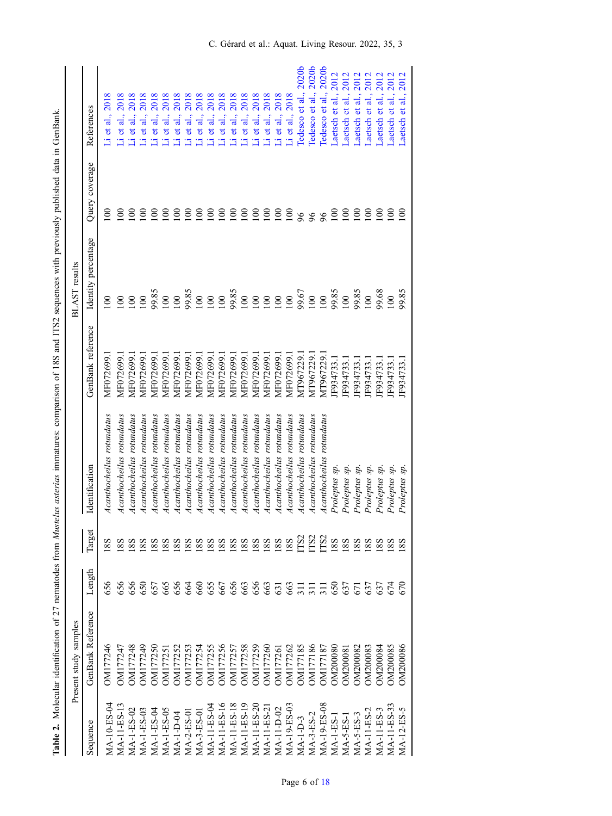<span id="page-5-0"></span>

|               | Present study samples |            |                 |                           |                   | <b>BLAST</b> results |                         |                          |
|---------------|-----------------------|------------|-----------------|---------------------------|-------------------|----------------------|-------------------------|--------------------------|
| Sequence      | GenBank Reference     | Length     | Target          | Identification            | GenBank reference | Identity percentage  | Query coverage          | References               |
| $MA-10-ES-04$ | OM177246              | 656        |                 | Acanthocheilus rotundatus | MF072699.         | $\approx$            | $\infty$                | $Li$ et al., $2018$      |
| MA-11-ES-13   | OM177247              | 656        | 88              | Acanthocheilus rotundatus | MF072699.         | $\overline{00}$      | $\epsilon$              | Li et al.,               |
| $MA-1-ES-02$  | OM177248              | 656        | 8 <sub>8</sub>  | Acanthocheilus rotundatus | MF072699.         | $\overline{0}$       | $\epsilon$              | 2018<br>Li et al.,       |
| MA-1-ES-03    | OM177249              | 650        | 8S              | Acanthocheilus rotundatus | MF072699.         | $\approx$            | $\epsilon$              | 2018<br>Li et al.,       |
| $MA-1-ES-04$  | <b>OM177250</b>       | 657        | <u>88</u>       | Acanthocheilus rotundatus | MF072699.         | 99.85                | $\epsilon$              | 2018<br>al.,<br>Li et    |
| MA-1-ES-05    | <b>DM17725</b>        | 665        | 8 <sub>S</sub>  | Acanthocheilus rotundatus | MF072699.         | $\overline{00}$      | $\epsilon$              | 2018<br>Li et al.,       |
| $MA-1-D-04$   | OM177252              | 656        | $\frac{8}{8}$   | Acanthocheilus rotundatus | MF072699.         | $\overline{00}$      | $\overline{8}$          | 2018<br>Li et al.,       |
| $MA-2-ES-0$   | DM177253              | 664        | $\frac{8}{8}$   | Acanthocheilus rotundatus | MF072699.         | 99.85<br>100         | $\overline{8}$          | 2018<br>Li et al.,       |
| MA-3-ES-0     | OM177254              | 660        | $\frac{8}{8}$   | Acanthocheilus rotundatus | MF072699.         |                      | $\epsilon$              | 2018<br>Li et al.,       |
| $MA-11-ES-04$ | <b>OM177255</b>       |            | 88              | Acanthocheilus rotundatus | MF072699.         | $\overline{0}$       | $\overline{\mathsf{S}}$ | 2018<br>Li et al.,       |
| MA-11-ES-16   | OM177256              | 655<br>667 | $\frac{8}{8}$   | Acanthocheilus rotundatus | MF072699.         | 100                  | $\overline{8}$          | 2018<br>Li et al.,       |
| MA-11-ES-18   | <b>DM177257</b>       | 656        | 8S              | Acanthocheilus rotundatus | MF072699.         | 99.85                | $\overline{8}$          | 2018<br>Li et al.,       |
| $MA-11-ES-19$ | <b>DM177258</b>       | 663        | 8 <sub>8</sub>  | Acanthocheilus rotundatus | MF072699.         | $\overline{0}$       | $\Xi$                   | 2018<br>Li et al.,       |
| MA-11-ES-20   | <b>DM177259</b>       | 656        | 18S             | Acanthocheilus rotundatus | MF072699.         | $\geq$               | $\overline{8}$          | 2018<br>Li et al.,       |
| MA-11-ES-2    | DM177260              | 663<br>63  | 8 <sub>8</sub>  | Acanthocheilus rotundatus | MF072699.         | $\overline{0}$       | $\overline{0}$          | 2018<br>Li et al.,       |
| $MA-11-D-02$  | OM17726               |            | 8 <sub>S</sub>  | Acanthocheilus rotundatus | MF072699.         | $\geq$               | $\approx$               | Li et al., 2018          |
| MA-19-ES-03   | OM177262              |            | 88              | Acanthocheilus rotundatus | MF072699.         | 100                  | $\approx$               | $Li$ et al., $2018$      |
| $MA-I-D-3$    | DM177185              | \$77.758   | TS2             | Acanthocheilus rotundatus | MT967229.         | 99.67                | 96                      | Tedesco et al., 2020b    |
| MA-3-ES-2     | <b>DM177186</b>       |            | TS <sub>2</sub> | Acanthocheilus rotundatus | MT967229.         | $\overline{00}$      | 96                      | Tedesco et al., 2020b    |
| MA-19-ES-08   | DM177187              |            | TS <sub>2</sub> | Acanthocheilus rotundatus | MT967229.         | $\overline{0}$       | 96                      | 2020b<br>Tedesco et al., |
| $MA-1-ES-$    | <b>DRO002NC</b>       |            | 18 <sub>S</sub> | Proleptus sp.             | IF934733.         | 99.85                | $\approx$               | 2012<br>Laetsch et al.,  |
| $MA-S-ES-$    | DM20008               | 637        | 18S             | Proleptus sp.             | F934733.          | $\overline{0}0$      | $\overline{00}$         | 2012<br>Laetsch et al.,  |
| $MA-S-ES-3$   | DM200082              | 671        | 18 <sub>S</sub> | Proleptus sp.             | F934733.          | 99.85                | $\overline{5}$          | 2012<br>Laetsch et al.,  |
| $MA-11-ES-2$  | <b>E8000ZMC</b>       | 637        | $\frac{8}{8}$   | Proleptus sp.             | F934733.          | $\overline{00}$      | $\overline{8}$          | 2012<br>Laetsch et al.,  |
| $MA-11-ES-3$  | <b>DM200084</b>       | 637        | 88              | Proleptus sp.             | F934733.          | 99.68                | $\overline{5}$          | 2012<br>Laetsch et al.,  |
| MA-11-ES-33   | DM200085              | 674        | $\frac{8}{8}$   | Proleptus sp.             | IF934733.         | 100                  | $\epsilon$              | 2012<br>Laetsch et al.,  |
| MA-12-ES-5    | <b>DM200086</b>       | 570        | 8 <sub>8</sub>  | Proleptus sp.             | IF934733.         | 99.85                | $\Xi$                   | 2012<br>Laetsch et al.,  |

Table 2. Molecular identification of 27 nematodes from Mustelus asterias immatures: comparison of 18S and ITS2 sequences with previously published data in GenBank. fication of 27 nematodes from Mustelus asterias immatures: comparison of 18S and ITS2 sequences with previously published data in GenBank. Table 2. Molecular identi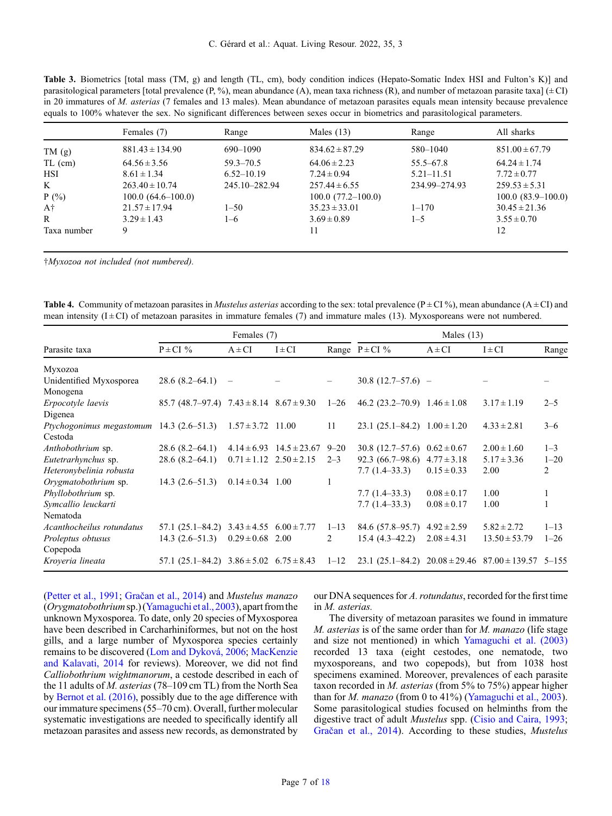<span id="page-6-0"></span>Table 3. Biometrics [total mass (TM, g) and length (TL, cm), body condition indices (Hepato-Somatic Index HSI and Fulton's K)] and parasitological parameters [total prevalence (P, %), mean abundance (A), mean taxa richness (R), and number of metazoan parasite taxa] ( $\pm$  CI) in 20 immatures of M. asterias (7 females and 13 males). Mean abundance of metazoan parasites equals mean intensity because prevalence equals to 100% whatever the sex. No significant differences between sexes occur in biometrics and parasitological parameters.

|             | Females (7)         | Range          | Males $(13)$        | Range          | All sharks          |
|-------------|---------------------|----------------|---------------------|----------------|---------------------|
| TM(g)       | $881.43 \pm 134.90$ | 690–1090       | $834.62 \pm 87.29$  | 580-1040       | $851.00 \pm 67.79$  |
| $TL$ (cm)   | $64.56 \pm 3.56$    | $59.3 - 70.5$  | $64.06 \pm 2.23$    | $55.5 - 67.8$  | $64.24 \pm 1.74$    |
| <b>HSI</b>  | $8.61 \pm 1.34$     | $6.52 - 10.19$ | $7.24 \pm 0.94$     | $5.21 - 11.51$ | $7.72 \pm 0.77$     |
| K           | $263.40 \pm 10.74$  | 245.10-282.94  | $257.44 \pm 6.55$   | 234.99-274.93  | $259.53 \pm 5.31$   |
| $P(\% )$    | $100.0(64.6-100.0)$ |                | $100.0(77.2-100.0)$ |                | $100.0(83.9-100.0)$ |
| A†          | $21.57 \pm 17.94$   | $1 - 50$       | $35.23 \pm 33.01$   | $1 - 170$      | $30.45 \pm 21.36$   |
| R           | $3.29 \pm 1.43$     | $1 - 6$        | $3.69 \pm 0.89$     | $1 - 5$        | $3.55 \pm 0.70$     |
| Taxa number | 9                   |                | 11                  |                | 12                  |

†Myxozoa not included (not numbered).

**Table 4.** Community of metazoan parasites in *Mustelus asterias* according to the sex: total prevalence ( $P \pm CI$ ), mean abundance ( $A \pm CI$ ) and mean intensity  $(I \pm C I)$  of metazoan parasites in immature females (7) and immature males (13). Myxosporeans were not numbered.

|                           |                                                      | Females (7)           |                                  |          |                                                             | Males $(13)$    |                   |          |
|---------------------------|------------------------------------------------------|-----------------------|----------------------------------|----------|-------------------------------------------------------------|-----------------|-------------------|----------|
| Parasite taxa             | $P \pm CI$ %                                         | $A \pm CI$            | $I \pm CI$                       |          | Range $P \pm CI$ %                                          | $A \pm CI$      | $I \pm CI$        | Range    |
| Myxozoa                   |                                                      |                       |                                  |          |                                                             |                 |                   |          |
| Unidentified Myxosporea   | 28.6(8.2–64.1)                                       |                       |                                  |          | $30.8(12.7-57.6)$ -                                         |                 |                   |          |
| Monogena                  |                                                      |                       |                                  |          |                                                             |                 |                   |          |
| Erpocotyle laevis         | 85.7 (48.7–97.4) $7.43 \pm 8.14$ $8.67 \pm 9.30$     |                       |                                  | $1 - 26$ | 46.2 $(23.2-70.9)$ 1.46 $\pm$ 1.08                          |                 | $3.17 \pm 1.19$   | $2 - 5$  |
| Digenea                   |                                                      |                       |                                  |          |                                                             |                 |                   |          |
| Ptychogonimus megastomum  | $14.3(2.6-51.3)$                                     | $1.57 \pm 3.72$ 11.00 |                                  | 11       | 23.1 $(25.1 - 84.2)$ $1.00 \pm 1.20$                        |                 | $4.33 \pm 2.81$   | $3 - 6$  |
| Cestoda                   |                                                      |                       |                                  |          |                                                             |                 |                   |          |
| Anthobothrium sp.         | 28.6(8.2–64.1)                                       |                       | $4.14 \pm 6.93$ $14.5 \pm 23.67$ | $9 - 20$ | $30.8(12.7-57.6)$                                           | $0.62 \pm 0.67$ | $2.00 \pm 1.60$   | $1 - 3$  |
| Eutetrarhynchus sp.       | 28.6(8.2–64.1)                                       |                       | $0.71 \pm 1.12$ $2.50 \pm 2.15$  | $2 - 3$  | $92.3(66.7-98.6)$                                           | $4.77 \pm 3.18$ | $5.17 \pm 3.36$   | $1 - 20$ |
| Heteronybelinia robusta   |                                                      |                       |                                  |          | $7.7(1.4-33.3)$                                             | $0.15 \pm 0.33$ | 2.00              | 2        |
| Orygmatobothrium sp.      | $14.3(2.6-51.3)$                                     | $0.14 \pm 0.34$ 1.00  |                                  | 1        |                                                             |                 |                   |          |
| Phyllobothrium sp.        |                                                      |                       |                                  |          | $7.7(1.4-33.3)$                                             | $0.08 \pm 0.17$ | 1.00              |          |
| Symcallio leuckarti       |                                                      |                       |                                  |          | $7.7(1.4-33.3)$                                             | $0.08 \pm 0.17$ | 1.00              |          |
| Nematoda                  |                                                      |                       |                                  |          |                                                             |                 |                   |          |
| Acanthocheilus rotundatus | $57.1(25.1 - 84.2)$                                  |                       | $3.43 \pm 4.55$ $6.00 \pm 7.77$  | $1 - 13$ | $84.6(57.8-95.7)$                                           | $4.92 \pm 2.59$ | $5.82 \pm 2.72$   | $1 - 13$ |
| Proleptus obtusus         | $14.3(2.6-51.3)$                                     | $0.29 \pm 0.68$       | 2.00                             | 2        | $15.4(4.3-42.2)$                                            | $2.08 \pm 4.31$ | $13.50 \pm 53.79$ | $1 - 26$ |
| Copepoda                  |                                                      |                       |                                  |          |                                                             |                 |                   |          |
| Kroyeria lineata          | 57.1 $(25.1 - 84.2)$ $3.86 \pm 5.02$ $6.75 \pm 8.43$ |                       |                                  | $1 - 12$ | 23.1 (25.1–84.2) 20.08 $\pm$ 29.46 87.00 $\pm$ 139.57 5–155 |                 |                   |          |

([Petter et al., 1991](#page-13-0); Grač[an et al., 2014](#page-12-0)) and Mustelus manazo (Orygmatobothriumsp.) [\(Yamaguchi et al., 2003](#page-13-0)), apart fromthe unknown Myxosporea. To date, only 20 species of Myxosporea have been described in Carcharhiniformes, but not on the host gills, and a large number of Myxosporea species certainly remains to be discovered [\(Lom and Dyková, 2006](#page-12-0); [MacKenzie](#page-12-0) [and Kalavati, 2014](#page-12-0) for reviews). Moreover, we did not find Calliobothrium wightmanorum, a cestode described in each of the 11 adults of M. asterias (78–109 cm TL) from the North Sea by [Bernot et al. \(2016\)](#page-11-0), possibly due to the age difference with our immature specimens (55–70 cm). Overall, further molecular systematic investigations are needed to specifically identify all metazoan parasites and assess new records, as demonstrated by our DNA sequences for A. rotundatus, recorded for the first time in M. asterias.

The diversity of metazoan parasites we found in immature  $M.$  asterias is of the same order than for  $M.$  manazo (life stage and size not mentioned) in which [Yamaguchi et al. \(2003\)](#page-13-0) recorded 13 taxa (eight cestodes, one nematode, two myxosporeans, and two copepods), but from 1038 host specimens examined. Moreover, prevalences of each parasite taxon recorded in M. asterias (from 5% to 75%) appear higher than for M. manazo (from 0 to 41%) [\(Yamaguchi et al., 2003\)](#page-13-0). Some parasitological studies focused on helminths from the digestive tract of adult Mustelus spp. [\(Cisio and Caira, 1993;](#page-11-0) Grač[an et al., 2014](#page-12-0)). According to these studies, Mustelus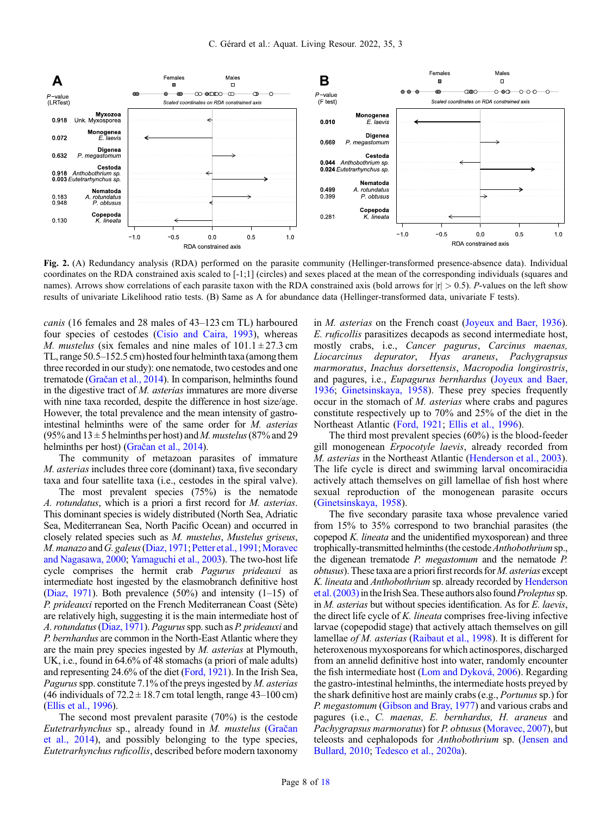<span id="page-7-0"></span>

Fig. 2. (A) Redundancy analysis (RDA) performed on the parasite community (Hellinger-transformed presence-absence data). Individual coordinates on the RDA constrained axis scaled to [-1;1] (circles) and sexes placed at the mean of the corresponding individuals (squares and names). Arrows show correlations of each parasite taxon with the RDA constrained axis (bold arrows for  $|r| > 0.5$ ). P-values on the left show results of univariate Likelihood ratio tests. (B) Same as A for abundance data (Hellinger-transformed data, univariate F tests).

canis (16 females and 28 males of 43–123 cm TL) harboured four species of cestodes ([Cisio and Caira, 1993\)](#page-11-0), whereas *M. mustelus* (six females and nine males of  $101.1 \pm 27.3$  cm TL, range  $50.5-152.5$  cm) hosted four helminth taxa (among them three recorded in our study): one nematode, two cestodes and one trematode (Grač[an et al., 2014](#page-12-0)). In comparison, helminths found in the digestive tract of M. asterias immatures are more diverse with nine taxa recorded, despite the difference in host size/age. However, the total prevalence and the mean intensity of gastrointestinal helminths were of the same order for M. asterias (95% and  $13 \pm 5$  helminths per host) and M. mustelus (87% and 29 helminths per host) (Grač[an et al., 2014](#page-12-0)).

The community of metazoan parasites of immature M. asterias includes three core (dominant) taxa, five secondary taxa and four satellite taxa (i.e., cestodes in the spiral valve).

The most prevalent species (75%) is the nematode A. rotundatus, which is a priori a first record for M. asterias. This dominant species is widely distributed (North Sea, Adriatic Sea, Mediterranean Sea, North Pacific Ocean) and occurred in closely related species such as M. mustelus, Mustelus griseus, M. manazo and G. galeus ([Diaz, 1971](#page-11-0); [Petter et al., 1991](#page-13-0); [Moravec](#page-13-0) [and Nagasawa, 2000;](#page-13-0) [Yamaguchi et al., 2003\)](#page-13-0). The two-host life cycle comprises the hermit crab Pagurus prideauxi as intermediate host ingested by the elasmobranch definitive host ([Diaz, 1971\)](#page-11-0). Both prevalence  $(50\%)$  and intensity  $(1-15)$  of P. prideauxi reported on the French Mediterranean Coast (Sète) are relatively high, suggesting it is the main intermediate host of A. rotundatus ([Diaz, 1971](#page-11-0)). Pagurus spp. such as P. prideauxi and P. bernhardus are common in the North-East Atlantic where they are the main prey species ingested by M. asterias at Plymouth, UK, i.e., found in 64.6% of 48 stomachs (a priori of male adults) and representing 24.6% of the diet ([Ford, 1921\)](#page-12-0). In the Irish Sea, *Pagurus* spp. constitute 7.1% of the preys ingested by  $M$ . *asterias* (46 individuals of  $72.2 \pm 18.7$  cm total length, range 43–100 cm) ([Ellis et al., 1996](#page-11-0)).

The second most prevalent parasite (70%) is the cestode Eutetrarhynchus sp., already found in M. mustelus [\(Gra](#page-12-0)čan [et al., 2014](#page-12-0)), and possibly belonging to the type species, Eutetrarhynchus ruficollis, described before modern taxonomy in M. asterias on the French coast [\(Joyeux and Baer, 1936\)](#page-12-0). E. ruficollis parasitizes decapods as second intermediate host, mostly crabs, i.e., Cancer pagurus, Carcinus maenas, Liocarcinus depurator, Hyas araneus, Pachygrapsus marmoratus, Inachus dorsettensis, Macropodia longirostris, and pagures, i.e., Eupagurus bernhardus [\(Joyeux and Baer,](#page-12-0) [1936](#page-12-0); [Ginetsinskaya, 1958\)](#page-12-0). These prey species frequently occur in the stomach of M. asterias where crabs and pagures constitute respectively up to 70% and 25% of the diet in the Northeast Atlantic [\(Ford, 1921;](#page-12-0) [Ellis et al., 1996](#page-11-0)).

The third most prevalent species (60%) is the blood-feeder gill monogenean Erpocotyle laevis, already recorded from M. asterias in the Northeast Atlantic ([Henderson et al., 2003\)](#page-12-0). The life cycle is direct and swimming larval oncomiracidia actively attach themselves on gill lamellae of fish host where sexual reproduction of the monogenean parasite occurs ([Ginetsinskaya, 1958\)](#page-12-0).

The five secondary parasite taxa whose prevalence varied from 15% to 35% correspond to two branchial parasites (the copepod K. lineata and the unidentified myxosporean) and three trophically-transmitted helminths (the cestode Anthobothrium sp., the digenean trematode P. megastomum and the nematode P.  $obtusus$ ). These taxa are a priorifirst records for M. asterias except K. lineata and Anthobothrium sp. already recorded by [Henderson](#page-12-0) et al.  $(2003)$  in the Irish Sea. These authors also found *Proleptus* sp. in M. asterias but without species identification. As for E. laevis, the direct life cycle of K. lineata comprises free-living infective larvae (copepodid stage) that actively attach themselves on gill lamellae *of M. asterias* ([Raibaut et al., 1998\)](#page-13-0). It is different for heteroxenous myxosporeans for which actinospores, discharged from an annelid definitive host into water, randomly encounter the fish intermediate host [\(Lom and Dyková, 2006\)](#page-12-0). Regarding the gastro-intestinal helminths, the intermediate hosts preyed by the shark definitive host are mainly crabs (e.g., *Portunus* sp.) for P. megastomum [\(Gibson and Bray, 1977](#page-12-0)) and various crabs and pagures (i.e., C. maenas, E. bernhardus, H. araneus and Pachygrapsus marmoratus) for P. obtusus ([Moravec, 2007\)](#page-13-0), but teleosts and cephalopods for Anthobothrium sp. [\(Jensen and](#page-12-0) [Bullard, 2010;](#page-12-0) [Tedesco et al., 2020a\)](#page-13-0).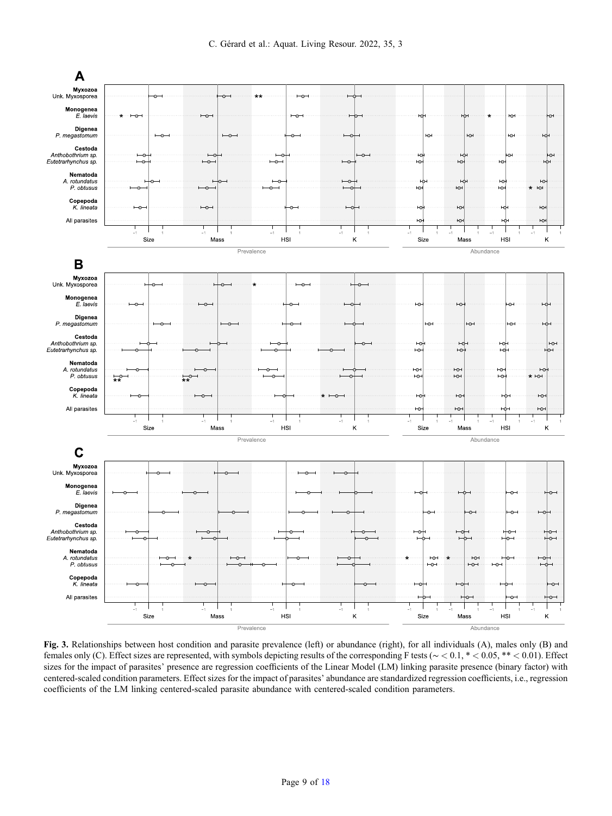<span id="page-8-0"></span>

Fig. 3. Relationships between host condition and parasite prevalence (left) or abundance (right), for all individuals (A), males only (B) and females only (C). Effect sizes are represented, with symbols depicting results of the corresponding F tests (∼ < 0.1, \* < 0.05, \*\* < 0.01). Effect sizes for the impact of parasites' presence are regression coefficients of the Linear Model (LM) linking parasite presence (binary factor) with centered-scaled condition parameters. Effect sizes for the impact of parasites' abundance are standardized regression coefficients, i.e., regression coefficients of the LM linking centered-scaled parasite abundance with centered-scaled condition parameters.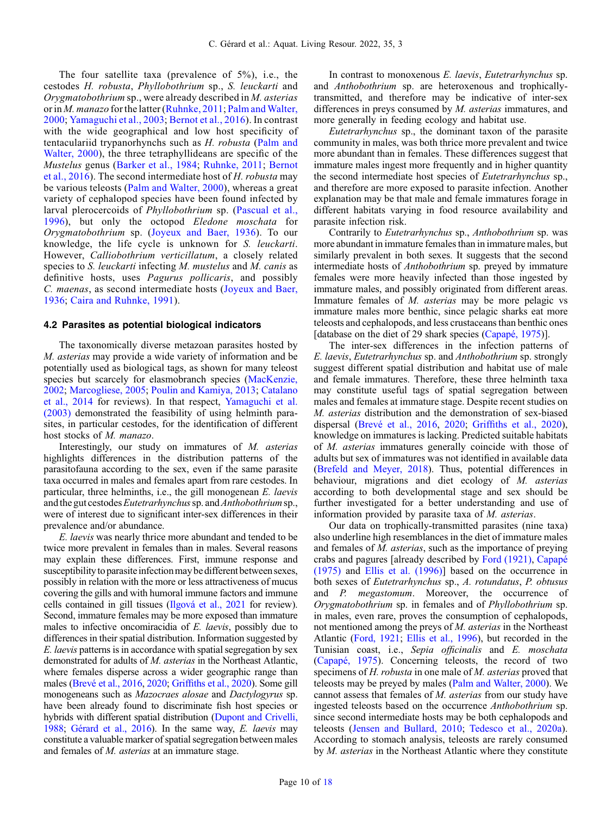The four satellite taxa (prevalence of 5%), i.e., the cestodes H. robusta, Phyllobothrium sp., S. leuckarti and Orygmatobothrium sp., were already described in M. asterias or in *M. manazo* for the latter [\(Ruhnke, 2011](#page-13-0); Palm and Walter, [2000](#page-13-0); [Yamaguchi et al., 2003](#page-13-0); [Bernot et al., 2016](#page-11-0)). In contrast with the wide geographical and low host specificity of tentaculariid trypanorhynchs such as H. robusta ([Palm and](#page-13-0) [Walter, 2000\)](#page-13-0), the three tetraphyllideans are specific of the Mustelus genus [\(Barker et al., 1984;](#page-11-0) [Ruhnke, 2011;](#page-13-0) [Bernot](#page-11-0) [et al., 2016](#page-11-0)). The second intermediate host of H. robusta may be various teleosts [\(Palm and Walter, 2000\)](#page-13-0), whereas a great variety of cephalopod species have been found infected by larval plerocercoids of Phyllobothrium sp. [\(Pascual et al.,](#page-13-0) [1996](#page-13-0)), but only the octopod Eledone moschata for Orygmatobothrium sp. [\(Joyeux and Baer, 1936](#page-12-0)). To our knowledge, the life cycle is unknown for S. leuckarti. However, Calliobothrium verticillatum, a closely related species to S. leuckarti infecting M. mustelus and M. canis as definitive hosts, uses Pagurus pollicaris, and possibly C. maenas, as second intermediate hosts ([Joyeux and Baer,](#page-12-0) [1936](#page-12-0); [Caira and Ruhnke, 1991](#page-11-0)).

#### 4.2 Parasites as potential biological indicators

The taxonomically diverse metazoan parasites hosted by M. asterias may provide a wide variety of information and be potentially used as biological tags, as shown for many teleost species but scarcely for elasmobranch species [\(MacKenzie,](#page-12-0) [2002](#page-12-0); [Marcogliese, 2005;](#page-12-0) [Poulin and Kamiya, 2013](#page-13-0); [Catalano](#page-11-0) [et al., 2014](#page-11-0) for reviews). In that respect, [Yamaguchi et al.](#page-13-0) [\(2003\)](#page-13-0) demonstrated the feasibility of using helminth parasites, in particular cestodes, for the identification of different host stocks of M. manazo.

Interestingly, our study on immatures of M. asterias highlights differences in the distribution patterns of the parasitofauna according to the sex, even if the same parasite taxa occurred in males and females apart from rare cestodes. In particular, three helminths, i.e., the gill monogenean E. laevis and the gut cestodes Eutetrarhynchus sp. and Anthobothrium sp., were of interest due to significant inter-sex differences in their prevalence and/or abundance.

E. laevis was nearly thrice more abundant and tended to be twice more prevalent in females than in males. Several reasons may explain these differences. First, immune response and susceptibility to parasite infection may be different between sexes, possibly in relation with the more or less attractiveness of mucus covering the gills and with humoral immune factors and immune cells contained in gill tissues [\(Ilgová et al., 2021](#page-13-0) for review). Second, immature females may be more exposed than immature males to infective oncomiracidia of E. *laevis*, possibly due to differences in their spatial distribution. Information suggested by E. laevis patterns is in accordance with spatial segregation by sex demonstrated for adults of M. asterias in the Northeast Atlantic, where females disperse across a wider geographic range than males ([Brevé et al., 2016](#page-11-0), [2020](#page-11-0); Griffi[ths et al., 2020\)](#page-12-0). Some gill monogeneans such as Mazocraes alosae and Dactylogyrus sp. have been already found to discriminate fish host species or hybrids with different spatial distribution [\(Dupont and Crivelli,](#page-11-0) [1988;](#page-11-0) [Gérard et al., 2016](#page-12-0)). In the same way, E. laevis may constitute a valuable marker of spatial segregation between males and females of M. asterias at an immature stage.

In contrast to monoxenous E. laevis, Eutetrarhynchus sp. and Anthobothrium sp. are heteroxenous and trophicallytransmitted, and therefore may be indicative of inter-sex differences in preys consumed by M. asterias immatures, and more generally in feeding ecology and habitat use.

Eutetrarhynchus sp., the dominant taxon of the parasite community in males, was both thrice more prevalent and twice more abundant than in females. These differences suggest that immature males ingest more frequently and in higher quantity the second intermediate host species of Eutetrarhynchus sp., and therefore are more exposed to parasite infection. Another explanation may be that male and female immatures forage in different habitats varying in food resource availability and parasite infection risk.

Contrarily to Eutetrarhynchus sp., Anthobothrium sp. was more abundant in immature females than in immature males, but similarly prevalent in both sexes. It suggests that the second intermediate hosts of Anthobothrium sp. preyed by immature females were more heavily infected than those ingested by immature males, and possibly originated from different areas. Immature females of M. asterias may be more pelagic vs immature males more benthic, since pelagic sharks eat more teleosts and cephalopods, and less crustaceans than benthic ones [database on the diet of 29 shark species [\(Capapé, 1975\)](#page-11-0)].

The inter-sex differences in the infection patterns of E. laevis, Eutetrarhynchus sp. and Anthobothrium sp. strongly suggest different spatial distribution and habitat use of male and female immatures. Therefore, these three helminth taxa may constitute useful tags of spatial segregation between males and females at immature stage. Despite recent studies on M. asterias distribution and the demonstration of sex-biased dispersal ([Brevé et al., 2016,](#page-11-0) [2020;](#page-11-0) Griffi[ths et al., 2020\)](#page-12-0), knowledge on immatures is lacking. Predicted suitable habitats of M. asterias immatures generally coincide with those of adults but sex of immatures was not identified in available data ([Brefeld and Meyer, 2018\)](#page-11-0). Thus, potential differences in behaviour, migrations and diet ecology of M. asterias according to both developmental stage and sex should be further investigated for a better understanding and use of information provided by parasite taxa of M. asterias.

Our data on trophically-transmitted parasites (nine taxa) also underline high resemblances in the diet of immature males and females of M. asterias, such as the importance of preying crabs and pagures [already described by [Ford \(1921\),](#page-12-0) [Capapé](#page-11-0) [\(1975\)](#page-11-0) and [Ellis et al. \(1996\)\]](#page-11-0) based on the occurrence in both sexes of Eutetrarhynchus sp., A. rotundatus, P. obtusus and P. megastomum. Moreover, the occurrence of Orygmatobothrium sp. in females and of Phyllobothrium sp. in males, even rare, proves the consumption of cephalopods, not mentioned among the preys of M. asterias in the Northeast Atlantic ([Ford, 1921](#page-12-0); [Ellis et al., 1996\)](#page-11-0), but recorded in the Tunisian coast, i.e., Sepia officinalis and E. moschata ([Capapé, 1975\)](#page-11-0). Concerning teleosts, the record of two specimens of H. robusta in one male of M. asterias proved that teleosts may be preyed by males ([Palm and Walter, 2000](#page-13-0)). We cannot assess that females of M. asterias from our study have ingested teleosts based on the occurrence Anthobothrium sp. since second intermediate hosts may be both cephalopods and teleosts [\(Jensen and Bullard, 2010;](#page-12-0) [Tedesco et al., 2020a\)](#page-13-0). According to stomach analysis, teleosts are rarely consumed by M. asterias in the Northeast Atlantic where they constitute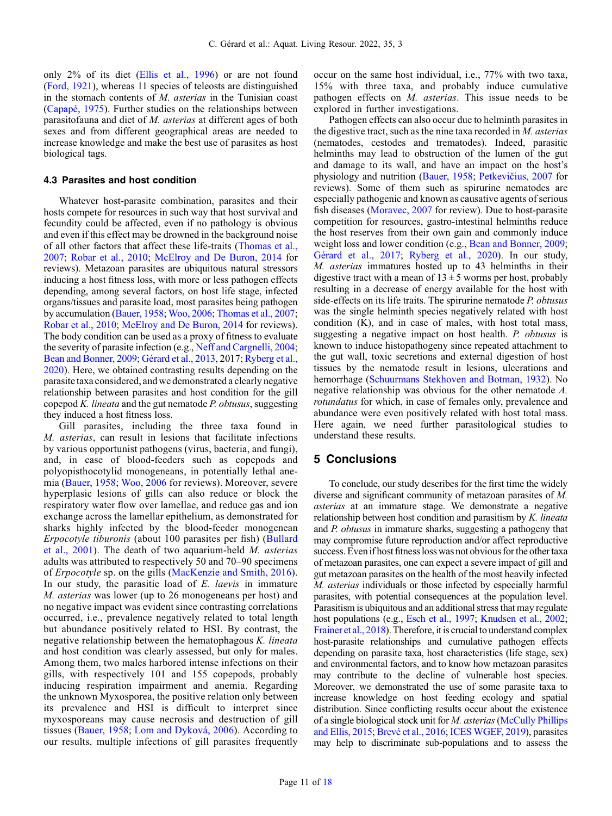only 2% of its diet ([Ellis et al., 1996](#page-11-0)) or are not found ([Ford, 1921\)](#page-12-0), whereas 11 species of teleosts are distinguished in the stomach contents of M. asterias in the Tunisian coast ([Capapé, 1975](#page-11-0)). Further studies on the relationships between parasitofauna and diet of M. asterias at different ages of both sexes and from different geographical areas are needed to increase knowledge and make the best use of parasites as host biological tags.

#### 4.3 Parasites and host condition

Whatever host-parasite combination, parasites and their hosts compete for resources in such way that host survival and fecundity could be affected, even if no pathology is obvious and even if this effect may be drowned in the background noise of all other factors that affect these life-traits ([Thomas et al.,](#page-13-0) [2007](#page-13-0); [Robar et al., 2010;](#page-13-0) [McElroy and De Buron, 2014](#page-13-0) for reviews). Metazoan parasites are ubiquitous natural stressors inducing a host fitness loss, with more or less pathogen effects depending, among several factors, on host life stage, infected organs/tissues and parasite load, most parasites being pathogen by accumulation [\(Bauer, 1958](#page-11-0); [Woo, 2006](#page-13-0); [Thomas et al., 2007](#page-13-0); [Robar et al., 2010](#page-13-0); [McElroy and De Buron, 2014](#page-13-0) for reviews). The body condition can be used as a proxy of fitness to evaluate the severity of parasite infection (e.g., [Neff and Cargnelli, 2004](#page-13-0); [Bean and Bonner, 2009](#page-11-0); [Gérard et al., 2013,](#page-12-0) 2017; [Ryberg et al.,](#page-13-0) [2020](#page-13-0)). Here, we obtained contrasting results depending on the parasite taxa considered, and we demonstrated a clearly negative relationship between parasites and host condition for the gill copepod K. lineata and the gut nematode P. obtusus, suggesting they induced a host fitness loss.

Gill parasites, including the three taxa found in M. asterias, can result in lesions that facilitate infections by various opportunist pathogens (virus, bacteria, and fungi), and, in case of blood-feeders such as copepods and polyopisthocotylid monogeneans, in potentially lethal anemia ([Bauer, 1958;](#page-11-0) [Woo, 2006](#page-13-0) for reviews). Moreover, severe hyperplasic lesions of gills can also reduce or block the respiratory water flow over lamellae, and reduce gas and ion exchange across the lamellar epithelium, as demonstrated for sharks highly infected by the blood-feeder monogenean Erpocotyle tiburonis (about 100 parasites per fish) [\(Bullard](#page-11-0) [et al., 2001\)](#page-11-0). The death of two aquarium-held M. asterias adults was attributed to respectively 50 and 70–90 specimens of Erpocotyle sp. on the gills [\(MacKenzie and Smith, 2016\)](#page-12-0). In our study, the parasitic load of E. *laevis* in immature M. asterias was lower (up to 26 monogeneans per host) and no negative impact was evident since contrasting correlations occurred, i.e., prevalence negatively related to total length but abundance positively related to HSI. By contrast, the negative relationship between the hematophagous K. lineata and host condition was clearly assessed, but only for males. Among them, two males harbored intense infections on their gills, with respectively 101 and 155 copepods, probably inducing respiration impairment and anemia. Regarding the unknown Myxosporea, the positive relation only between its prevalence and HSI is difficult to interpret since myxosporeans may cause necrosis and destruction of gill tissues ([Bauer, 1958](#page-11-0); [Lom and Dyková, 2006\)](#page-12-0). According to our results, multiple infections of gill parasites frequently occur on the same host individual, i.e., 77% with two taxa, 15% with three taxa, and probably induce cumulative pathogen effects on M. asterias. This issue needs to be explored in further investigations.

Pathogen effects can also occur due to helminth parasites in the digestive tract, such as the nine taxa recorded in M. asterias (nematodes, cestodes and trematodes). Indeed, parasitic helminths may lead to obstruction of the lumen of the gut and damage to its wall, and have an impact on the host's physiology and nutrition [\(Bauer, 1958](#page-11-0); Petkevič[ius, 2007](#page-13-0) for reviews). Some of them such as spirurine nematodes are especially pathogenic and known as causative agents of serious fish diseases ([Moravec, 2007](#page-13-0) for review). Due to host-parasite competition for resources, gastro-intestinal helminths reduce the host reserves from their own gain and commonly induce weight loss and lower condition (e.g., [Bean and Bonner, 2009;](#page-11-0) [Gérard et al., 2017;](#page-12-0) [Ryberg et al., 2020](#page-13-0)). In our study, M. asterias immatures hosted up to 43 helminths in their digestive tract with a mean of  $13 \pm 5$  worms per host, probably resulting in a decrease of energy available for the host with side-effects on its life traits. The spirurine nematode P. obtusus was the single helminth species negatively related with host condition (K), and in case of males, with host total mass, suggesting a negative impact on host health. P. obtusus is known to induce histopathogeny since repeated attachment to the gut wall, toxic secretions and external digestion of host tissues by the nematode result in lesions, ulcerations and hemorrhage [\(Schuurmans Stekhoven and Botman, 1932\)](#page-13-0). No negative relationship was obvious for the other nematode A. rotundatus for which, in case of females only, prevalence and abundance were even positively related with host total mass. Here again, we need further parasitological studies to understand these results.

## 5 Conclusions

To conclude, our study describes for the first time the widely diverse and significant community of metazoan parasites of M. asterias at an immature stage. We demonstrate a negative relationship between host condition and parasitism by K. lineata and P. obtusus in immature sharks, suggesting a pathogeny that may compromise future reproduction and/or affect reproductive success. Evenif host fitness loss was not obvious for the other taxa of metazoan parasites, one can expect a severe impact of gill and gut metazoan parasites on the health of the most heavily infected M. asterias individuals or those infected by especially harmful parasites, with potential consequences at the population level. Parasitism is ubiquitous and an additional stress that may regulate host populations (e.g., [Esch et al., 1997;](#page-12-0) [Knudsen et al., 2002;](#page-12-0) [Frainer et al., 2018\)](#page-12-0). Therefore, it is crucial to understand complex host-parasite relationships and cumulative pathogen effects depending on parasite taxa, host characteristics (life stage, sex) and environmental factors, and to know how metazoan parasites may contribute to the decline of vulnerable host species. Moreover, we demonstrated the use of some parasite taxa to increase knowledge on host feeding ecology and spatial distribution. Since conflicting results occur about the existence of a single biological stock unit for M. asterias[\(McCully Phillips](#page-13-0) [and Ellis, 2015](#page-13-0); [Brevé et al., 2016;](#page-11-0) [ICES WGEF, 2019\)](#page-12-0), parasites may help to discriminate sub-populations and to assess the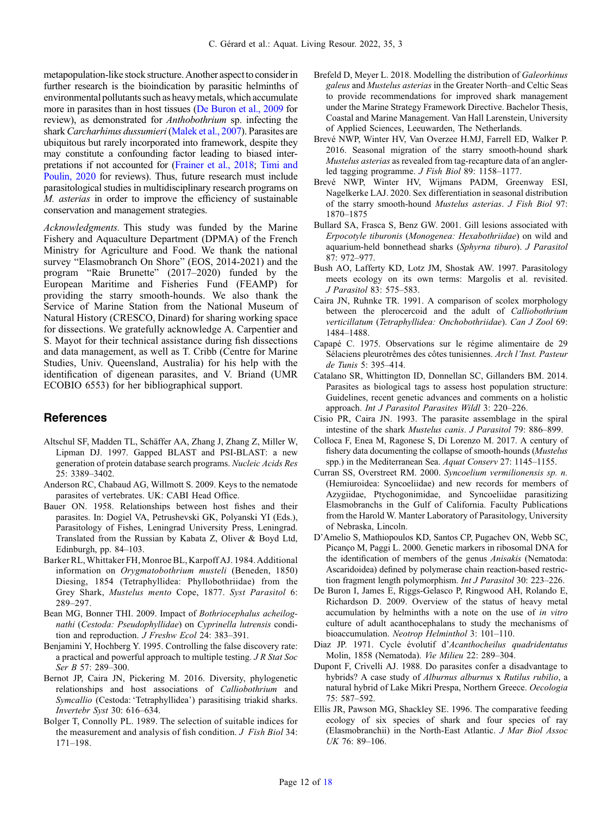<span id="page-11-0"></span>metapopulation-like stock structure. Another aspect to consider in further research is the bioindication by parasitic helminths of environmental pollutants such as heavy metals, which accumulate more in parasites than in host tissues (De Buron et al., 2009 for review), as demonstrated for Anthobothrium sp. infecting the shark Carcharhinus dussumieri [\(Malek et al., 2007\)](#page-12-0). Parasites are ubiquitous but rarely incorporated into framework, despite they may constitute a confounding factor leading to biased interpretations if not accounted for [\(Frainer et al., 2018](#page-12-0); [Timi and](#page-13-0) [Poulin, 2020](#page-13-0) for reviews). Thus, future research must include parasitological studies in multidisciplinary research programs on M. asterias in order to improve the efficiency of sustainable conservation and management strategies.

Acknowledgments. This study was funded by the Marine Fishery and Aquaculture Department (DPMA) of the French Ministry for Agriculture and Food. We thank the national survey "Elasmobranch On Shore" (EOS, 2014-2021) and the program "Raie Brunette" (2017–2020) funded by the European Maritime and Fisheries Fund (FEAMP) for providing the starry smooth-hounds. We also thank the Service of Marine Station from the National Museum of Natural History (CRESCO, Dinard) for sharing working space for dissections. We gratefully acknowledge A. Carpentier and S. Mayot for their technical assistance during fish dissections and data management, as well as T. Cribb (Centre for Marine Studies, Univ. Queensland, Australia) for his help with the identification of digenean parasites, and V. Briand (UMR ECOBIO 6553) for her bibliographical support.

## References

- Altschul SF, Madden TL, Schäffer AA, Zhang J, Zhang Z, Miller W, Lipman DJ. 1997. Gapped BLAST and PSI-BLAST: a new generation of protein database search programs. Nucleic Acids Res 25: 3389–3402.
- Anderson RC, Chabaud AG, Willmott S. 2009. Keys to the nematode parasites of vertebrates. UK: CABI Head Office.
- Bauer ON. 1958. Relationships between host fishes and their parasites. In: Dogiel VA, Petrushevski GK, Polyanski YI (Eds.), Parasitology of Fishes, Leningrad University Press, Leningrad. Translated from the Russian by Kabata Z, Oliver & Boyd Ltd, Edinburgh, pp. 84–103.
- Barker RL, Whittaker FH, Monroe BL, Karpoff AJ. 1984. Additional information on Orygmatobothrium musteli (Beneden, 1850) Diesing, 1854 (Tetraphyllidea: Phyllobothriidae) from the Grey Shark, Mustelus mento Cope, 1877. Syst Parasitol 6: 289–297.
- Bean MG, Bonner THI. 2009. Impact of Bothriocephalus acheilognathi (Cestoda: Pseudophyllidae) on Cyprinella lutrensis condition and reproduction. *J Freshw Ecol* 24: 383-391.
- Benjamini Y, Hochberg Y. 1995. Controlling the false discovery rate: a practical and powerful approach to multiple testing. J R Stat Soc Ser B 57: 289-300.
- Bernot JP, Caira JN, Pickering M. 2016. Diversity, phylogenetic relationships and host associations of Calliobothrium and Symcallio (Cestoda: 'Tetraphyllidea') parasitising triakid sharks. Invertebr Syst 30: 616–634.
- Bolger T, Connolly PL. 1989. The selection of suitable indices for the measurement and analysis of fish condition. J Fish Biol 34: 171–198.
- Brefeld D, Meyer L. 2018. Modelling the distribution of Galeorhinus galeus and Mustelus asterias in the Greater North–and Celtic Seas to provide recommendations for improved shark management under the Marine Strategy Framework Directive. Bachelor Thesis, Coastal and Marine Management. Van Hall Larenstein, University of Applied Sciences, Leeuwarden, The Netherlands.
- Brevé NWP, Winter HV, Van Overzee H.MJ, Farrell ED, Walker P. 2016. Seasonal migration of the starry smooth-hound shark Mustelus asterias as revealed from tag-recapture data of an anglerled tagging programme. J Fish Biol 89: 1158–1177.
- Brevé NWP, Winter HV, Wijmans PADM, Greenway ESI, Nagelkerke LAJ. 2020. Sex differentiation in seasonal distribution of the starry smooth-hound Mustelus asterias. J Fish Biol 97: 1870–1875
- Bullard SA, Frasca S, Benz GW. 2001. Gill lesions associated with Erpocotyle tiburonis (Monogenea: Hexabothriidae) on wild and aquarium-held bonnethead sharks (Sphyrna tiburo). J Parasitol 87: 972–977.
- Bush AO, Lafferty KD, Lotz JM, Shostak AW. 1997. Parasitology meets ecology on its own terms: Margolis et al. revisited. J Parasitol 83: 575–583.
- Caira JN, Ruhnke TR. 1991. A comparison of scolex morphology between the plerocercoid and the adult of Calliobothrium verticillatum (Tetraphyllidea: Onchobothriidae). Can J Zool 69: 1484–1488.
- Capapé C. 1975. Observations sur le régime alimentaire de 29 Sélaciens pleurotrêmes des côtes tunisiennes. Arch l'Inst. Pasteur de Tunis 5: 395–414.
- Catalano SR, Whittington ID, Donnellan SC, Gillanders BM. 2014. Parasites as biological tags to assess host population structure: Guidelines, recent genetic advances and comments on a holistic approach. Int J Parasitol Parasites Wildl 3: 220–226.
- Cisio PR, Caira JN. 1993. The parasite assemblage in the spiral intestine of the shark Mustelus canis. J Parasitol 79: 886–899.
- Colloca F, Enea M, Ragonese S, Di Lorenzo M. 2017. A century of fishery data documenting the collapse of smooth-hounds (Mustelus spp.) in the Mediterranean Sea. Aquat Conserv 27: 1145–1155.
- Curran SS, Overstreet RM. 2000. Syncoelium vermilionensis sp. n. (Hemiuroidea: Syncoeliidae) and new records for members of Azygiidae, Ptychogonimidae, and Syncoeliidae parasitizing Elasmobranchs in the Gulf of California. Faculty Publications from the Harold W. Manter Laboratory of Parasitology, University of Nebraska, Lincoln.
- D'Amelio S, Mathiopoulos KD, Santos CP, Pugachev ON, Webb SC, Picanço M, Paggi L. 2000. Genetic markers in ribosomal DNA for the identification of members of the genus Anisakis (Nematoda: Ascaridoidea) defined by polymerase chain reaction-based restriction fragment length polymorphism. Int J Parasitol 30: 223–226.
- De Buron I, James E, Riggs-Gelasco P, Ringwood AH, Rolando E, Richardson D. 2009. Overview of the status of heavy metal accumulation by helminths with a note on the use of in vitro culture of adult acanthocephalans to study the mechanisms of bioaccumulation. Neotrop Helminthol 3: 101–110.
- Diaz JP. 1971. Cycle évolutif d'Acanthocheilus quadridentatus Molin, 1858 (Nematoda). Vie Milieu 22: 289–304.
- Dupont F, Crivelli AJ. 1988. Do parasites confer a disadvantage to hybrids? A case study of Alburnus alburnus x Rutilus rubilio, a natural hybrid of Lake Mikri Prespa, Northern Greece. Oecologia 75: 587–592.
- Ellis JR, Pawson MG, Shackley SE. 1996. The comparative feeding ecology of six species of shark and four species of ray (Elasmobranchii) in the North-East Atlantic. J Mar Biol Assoc UK 76: 89–106.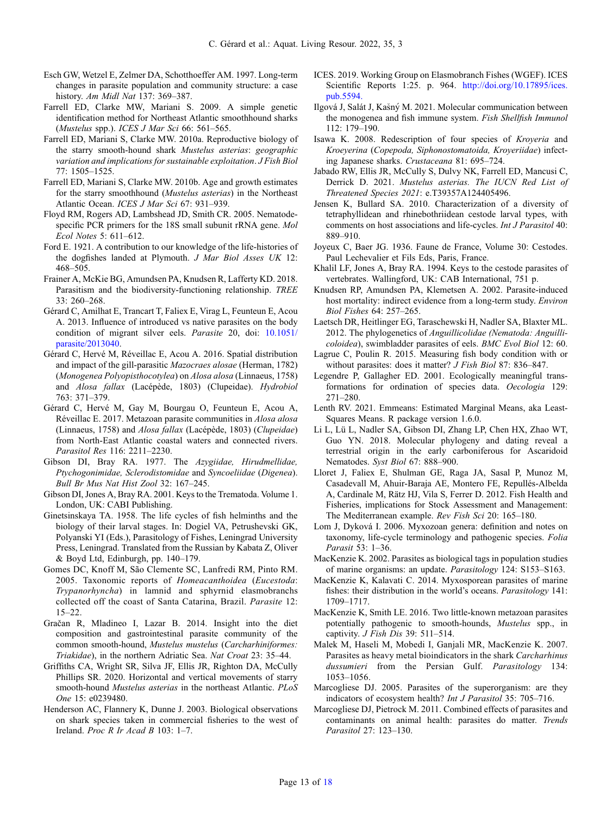- <span id="page-12-0"></span>Esch GW, Wetzel E, Zelmer DA, Schotthoeffer AM. 1997. Long-term changes in parasite population and community structure: a case history. Am Midl Nat 137: 369–387.
- Farrell ED, Clarke MW, Mariani S. 2009. A simple genetic identification method for Northeast Atlantic smoothhound sharks (Mustelus spp.). ICES J Mar Sci 66: 561–565.
- Farrell ED, Mariani S, Clarke MW. 2010a. Reproductive biology of the starry smooth-hound shark Mustelus asterias: geographic variation and implications for sustainable exploitation. J Fish Biol 77: 1505–1525.
- Farrell ED, Mariani S, Clarke MW. 2010b. Age and growth estimates for the starry smoothhound (Mustelus asterias) in the Northeast Atlantic Ocean. ICES J Mar Sci 67: 931–939.
- Floyd RM, Rogers AD, Lambshead JD, Smith CR. 2005. Nematodespecific PCR primers for the 18S small subunit rRNA gene. Mol Ecol Notes 5: 611–612.
- Ford E. 1921. A contribution to our knowledge of the life-histories of the dogfishes landed at Plymouth. J Mar Biol Asses UK 12: 468–505.
- Frainer A, McKie BG, Amundsen PA, Knudsen R, Lafferty KD. 2018. Parasitism and the biodiversity-functioning relationship. TREE 33: 260–268.
- Gérard C, Amilhat E, Trancart T, Faliex E, Virag L, Feunteun E, Acou A. 2013. Influence of introduced vs native parasites on the body condition of migrant silver eels. Parasite 20, doi: [10.1051/](https://doi.org/10.1051/parasite/2013040) [parasite/2013040](https://doi.org/10.1051/parasite/2013040).
- Gérard C, Hervé M, Réveillac E, Acou A. 2016. Spatial distribution and impact of the gill-parasitic Mazocraes alosae (Herman, 1782) (Monogenea Polyopisthocotylea) on Alosa alosa (Linnaeus, 1758) and Alosa fallax (Lacépède, 1803) (Clupeidae). Hydrobiol 763: 371–379.
- Gérard C, Hervé M, Gay M, Bourgau O, Feunteun E, Acou A, Réveillac E. 2017. Metazoan parasite communities in Alosa alosa (Linnaeus, 1758) and Alosa fallax (Lacépède, 1803) (Clupeidae) from North-East Atlantic coastal waters and connected rivers. Parasitol Res 116: 2211–2230.
- Gibson DI, Bray RA. 1977. The Azygiidae, Hirudmellidae, Ptychogonimidae, Sclerodistomidae and Syncoeliidae (Digenea). Bull Br Mus Nat Hist Zool 32: 167–245.
- Gibson DI, Jones A, Bray RA. 2001. Keys to the Trematoda. Volume 1. London, UK: CABI Publishing.
- Ginetsinskaya TA. 1958. The life cycles of fish helminths and the biology of their larval stages. In: Dogiel VA, Petrushevski GK, Polyanski YI (Eds.), Parasitology of Fishes, Leningrad University Press, Leningrad. Translated from the Russian by Kabata Z, Oliver & Boyd Ltd, Edinburgh, pp. 140–179.
- Gomes DC, Knoff M, São Clemente SC, Lanfredi RM, Pinto RM. 2005. Taxonomic reports of Homeacanthoidea (Eucestoda: Trypanorhyncha) in lamnid and sphyrnid elasmobranchs collected off the coast of Santa Catarina, Brazil. Parasite 12: 15–22.
- Gračan R, Mladineo I, Lazar B. 2014. Insight into the diet composition and gastrointestinal parasite community of the common smooth-hound, Mustelus mustelus (Carcharhiniformes: Triakidae), in the northern Adriatic Sea. Nat Croat 23: 35–44.
- Griffiths CA, Wright SR, Silva JF, Ellis JR, Righton DA, McCully Phillips SR. 2020. Horizontal and vertical movements of starry smooth-hound Mustelus asterias in the northeast Atlantic. PLoS One 15: e0239480.
- Henderson AC, Flannery K, Dunne J. 2003. Biological observations on shark species taken in commercial fisheries to the west of Ireland. Proc R Ir Acad B 103: 1–7.
- ICES. 2019. Working Group on Elasmobranch Fishes (WGEF). ICES Scientific Reports 1:25. p. 964. [http://doi.org/10.17895/ices.](http://doi.org/10.17895/ices.pub.5594.) [pub.5594.](http://doi.org/10.17895/ices.pub.5594.)
- Ilgová J, Salát J, Kasny M. 2021. Molecular communication between the monogenea and fish immune system. Fish Shellfish Immunol 112: 179–190.
- Isawa K. 2008. Redescription of four species of Kroyeria and Kroeyerina (Copepoda, Siphonostomatoida, Kroyeriidae) infecting Japanese sharks. Crustaceana 81: 695–724.
- Jabado RW, Ellis JR, McCully S, Dulvy NK, Farrell ED, Mancusi C, Derrick D. 2021. Mustelus asterias. The IUCN Red List of Threatened Species 2021: e.T39357A124405496.
- Jensen K, Bullard SA. 2010. Characterization of a diversity of tetraphyllidean and rhinebothriidean cestode larval types, with comments on host associations and life-cycles. Int J Parasitol 40: 889–910.
- Joyeux C, Baer JG. 1936. Faune de France, Volume 30: Cestodes. Paul Lechevalier et Fils Eds, Paris, France.
- Khalil LF, Jones A, Bray RA. 1994. Keys to the cestode parasites of vertebrates. Wallingford, UK: CAB International, 751 p.
- Knudsen RP, Amundsen PA, Klemetsen A. 2002. Parasite-induced host mortality: indirect evidence from a long-term study. Environ Biol Fishes 64: 257–265.
- Laetsch DR, Heitlinger EG, Taraschewski H, Nadler SA, Blaxter ML. 2012. The phylogenetics of Anguillicolidae (Nematoda: Anguillicoloidea), swimbladder parasites of eels. BMC Evol Biol 12: 60.
- Lagrue C, Poulin R. 2015. Measuring fish body condition with or without parasites: does it matter? J Fish Biol 87: 836–847.
- Legendre P, Gallagher ED. 2001. Ecologically meaningful transformations for ordination of species data. Oecologia 129: 271–280.
- Lenth RV. 2021. Emmeans: Estimated Marginal Means, aka Least-Squares Means. R package version 1.6.0.
- Li L, Lü L, Nadler SA, Gibson DI, Zhang LP, Chen HX, Zhao WT, Guo YN. 2018. Molecular phylogeny and dating reveal a terrestrial origin in the early carboniferous for Ascaridoid Nematodes. Syst Biol 67: 888–900.
- Lloret J, Faliex E, Shulman GE, Raga JA, Sasal P, Munoz M, Casadevall M, Ahuir-Baraja AE, Montero FE, Repullés-Albelda A, Cardinale M, Rätz HJ, Vila S, Ferrer D. 2012. Fish Health and Fisheries, implications for Stock Assessment and Management: The Mediterranean example. Rev Fish Sci 20: 165–180.
- Lom J, Dyková I. 2006. Myxozoan genera: definition and notes on taxonomy, life-cycle terminology and pathogenic species. Folia Parasit 53: 1–36.
- MacKenzie K. 2002. Parasites as biological tags in population studies of marine organisms: an update. Parasitology 124: S153–S163.
- MacKenzie K, Kalavati C. 2014. Myxosporean parasites of marine fishes: their distribution in the world's oceans. Parasitology 141: 1709–1717.
- MacKenzie K, Smith LE. 2016. Two little-known metazoan parasites potentially pathogenic to smooth-hounds, Mustelus spp., in captivity. J Fish Dis 39: 511–514.
- Malek M, Haseli M, Mobedi I, Ganjali MR, MacKenzie K. 2007. Parasites as heavy metal bioindicators in the shark Carcharhinus dussumieri from the Persian Gulf. Parasitology 134: 1053–1056.
- Marcogliese DJ. 2005. Parasites of the superorganism: are they indicators of ecosystem health? Int J Parasitol 35: 705–716.
- Marcogliese DJ, Pietrock M. 2011. Combined effects of parasites and contaminants on animal health: parasites do matter. Trends Parasitol 27: 123–130.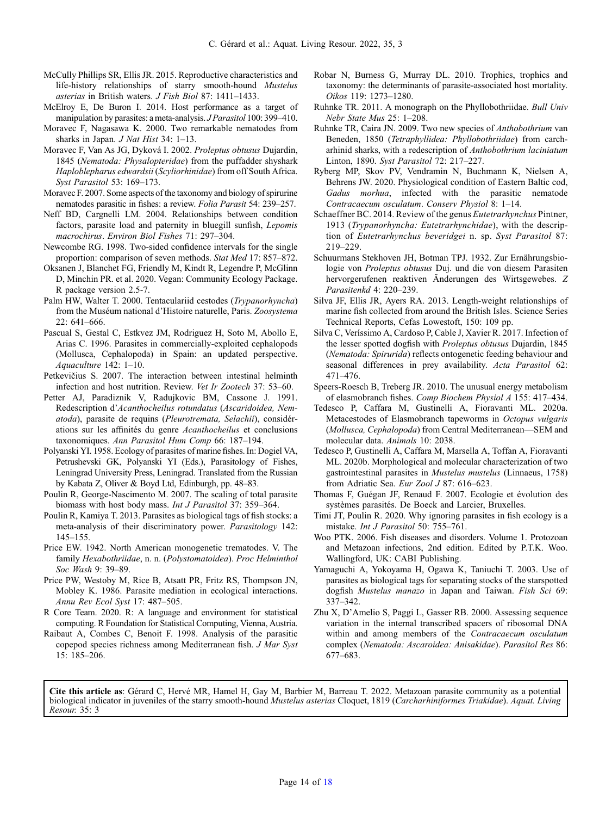- <span id="page-13-0"></span>McCully Phillips SR, Ellis JR. 2015. Reproductive characteristics and life-history relationships of starry smooth-hound Mustelus asterias in British waters. J Fish Biol 87: 1411–1433.
- McElroy E, De Buron I. 2014. Host performance as a target of manipulation by parasites: a meta-analysis. *J Parasitol* 100: 399-410.
- Moravec F, Nagasawa K. 2000. Two remarkable nematodes from sharks in Japan. *J Nat Hist* 34: 1-13.
- Moravec F, Van As JG, Dyková I. 2002. Proleptus obtusus Dujardin, 1845 (Nematoda: Physalopteridae) from the puffadder shyshark Haploblepharus edwardsii (Scyliorhinidae) from off South Africa. Syst Parasitol 53: 169–173.
- Moravec F. 2007. Some aspects of the taxonomy and biology of spirurine nematodes parasitic in fishes: a review. Folia Parasit 54: 239–257.
- Neff BD, Cargnelli LM. 2004. Relationships between condition factors, parasite load and paternity in bluegill sunfish, Lepomis macrochirus. Environ Biol Fishes 71: 297–304.
- Newcombe RG. 1998. Two-sided confidence intervals for the single proportion: comparison of seven methods. Stat Med 17: 857–872.
- Oksanen J, Blanchet FG, Friendly M, Kindt R, Legendre P, McGlinn D, Minchin PR. et al. 2020. Vegan: Community Ecology Package. R package version 2.5-7.
- Palm HW, Walter T. 2000. Tentaculariid cestodes (Trypanorhyncha) from the Muséum national d'Histoire naturelle, Paris. Zoosystema 22: 641–666.
- Pascual S, Gestal C, Estkvez JM, Rodriguez H, Soto M, Abollo E, Arias C. 1996. Parasites in commercially-exploited cephalopods (Mollusca, Cephalopoda) in Spain: an updated perspective. Aquaculture 142: 1–10.
- Petkevičius S. 2007. The interaction between intestinal helminth infection and host nutrition. Review. Vet Ir Zootech 37: 53–60.
- Petter AJ, Paradiznik V, Radujkovic BM, Cassone J. 1991. Redescription d'Acanthocheilus rotundatus (Ascaridoidea, Nematoda), parasite de requins (Pleurotremata, Selachii), considérations sur les affinités du genre Acanthocheilus et conclusions taxonomiques. Ann Parasitol Hum Comp 66: 187–194.
- Polyanski YI. 1958. Ecology of parasites of marine fishes. In: Dogiel VA, Petrushevski GK, Polyanski YI (Eds.), Parasitology of Fishes, Leningrad University Press, Leningrad. Translated from the Russian by Kabata Z, Oliver & Boyd Ltd, Edinburgh, pp. 48–83.
- Poulin R, George-Nascimento M. 2007. The scaling of total parasite biomass with host body mass. Int J Parasitol 37: 359–364.
- Poulin R, Kamiya T. 2013. Parasites as biological tags of fish stocks: a meta-analysis of their discriminatory power. Parasitology 142: 145–155.
- Price EW. 1942. North American monogenetic trematodes. V. The family Hexabothriidae, n. n. (Polystomatoidea). Proc Helminthol Soc Wash 9: 39–89.
- Price PW, Westoby M, Rice B, Atsatt PR, Fritz RS, Thompson JN, Mobley K. 1986. Parasite mediation in ecological interactions. Annu Rev Ecol Syst 17: 487–505.
- R Core Team. 2020. R: A language and environment for statistical computing. R Foundation for Statistical Computing, Vienna, Austria.
- Raibaut A, Combes C, Benoit F. 1998. Analysis of the parasitic copepod species richness among Mediterranean fish. J Mar Syst 15: 185–206.
- Robar N, Burness G, Murray DL. 2010. Trophics, trophics and taxonomy: the determinants of parasite-associated host mortality. Oikos 119: 1273–1280.
- Ruhnke TR. 2011. A monograph on the Phyllobothriidae. Bull Univ Nebr State Mus 25: 1–208.
- Ruhnke TR, Caira JN. 2009. Two new species of Anthobothrium van Beneden, 1850 (Tetraphyllidea: Phyllobothriidae) from carcharhinid sharks, with a redescription of Anthobothrium laciniatum Linton, 1890. Syst Parasitol 72: 217–227.
- Ryberg MP, Skov PV, Vendramin N, Buchmann K, Nielsen A, Behrens JW. 2020. Physiological condition of Eastern Baltic cod, Gadus morhua, infected with the parasitic nematode Contracaecum osculatum. Conserv Physiol 8: 1–14.
- Schaeffner BC. 2014. Review of the genus Eutetrarhynchus Pintner, 1913 (Trypanorhyncha: Eutetrarhynchidae), with the description of Eutetrarhynchus beveridgei n. sp. Syst Parasitol 87: 219–229.
- Schuurmans Stekhoven JH, Botman TPJ. 1932. Zur Ernährungsbiologie von Proleptus obtusus Duj. und die von diesem Parasiten hervorgerufenen reaktiven Änderungen des Wirtsgewebes. Z Parasitenkd 4: 220–239.
- Silva JF, Ellis JR, Ayers RA. 2013. Length-weight relationships of marine fish collected from around the British Isles. Science Series Technical Reports, Cefas Lowestoft, 150: 109 pp.
- Silva C, Veríssimo A, Cardoso P, Cable J, Xavier R. 2017. Infection of the lesser spotted dogfish with Proleptus obtusus Dujardin, 1845 (Nematoda: Spirurida) reflects ontogenetic feeding behaviour and seasonal differences in prey availability. Acta Parasitol 62: 471–476.
- Speers-Roesch B, Treberg JR. 2010. The unusual energy metabolism of elasmobranch fishes. Comp Biochem Physiol A 155: 417–434.
- Tedesco P, Caffara M, Gustinelli A, Fioravanti ML. 2020a. Metacestodes of Elasmobranch tapeworms in Octopus vulgaris (Mollusca, Cephalopoda) from Central Mediterranean—SEM and molecular data. Animals 10: 2038.
- Tedesco P, Gustinelli A, Caffara M, Marsella A, Toffan A, Fioravanti ML. 2020b. Morphological and molecular characterization of two gastrointestinal parasites in Mustelus mustelus (Linnaeus, 1758) from Adriatic Sea. Eur Zool J 87: 616-623.
- Thomas F, Guégan JF, Renaud F. 2007. Ecologie et évolution des systèmes parasités. De Boeck and Larcier, Bruxelles.
- Timi JT, Poulin R. 2020. Why ignoring parasites in fish ecology is a mistake. Int J Parasitol 50: 755–761.
- Woo PTK. 2006. Fish diseases and disorders. Volume 1. Protozoan and Metazoan infections, 2nd edition. Edited by P.T.K. Woo. Wallingford, UK: CABI Publishing.
- Yamaguchi A, Yokoyama H, Ogawa K, Taniuchi T. 2003. Use of parasites as biological tags for separating stocks of the starspotted dogfish Mustelus manazo in Japan and Taiwan. Fish Sci 69: 337–342.
- Zhu X, D'Amelio S, Paggi L, Gasser RB. 2000. Assessing sequence variation in the internal transcribed spacers of ribosomal DNA within and among members of the Contracaecum osculatum complex (Nematoda: Ascaroidea: Anisakidae). Parasitol Res 86: 677–683.

Cite this article as: Gérard C, Hervé MR, Hamel H, Gay M, Barbier M, Barreau T. 2022. Metazoan parasite community as a potential biological indicator in juveniles of the starry smooth-hound Mustelus asterias Cloquet, 1819 (Carcharhiniformes Triakidae). Aquat. Living Resour. 35: 3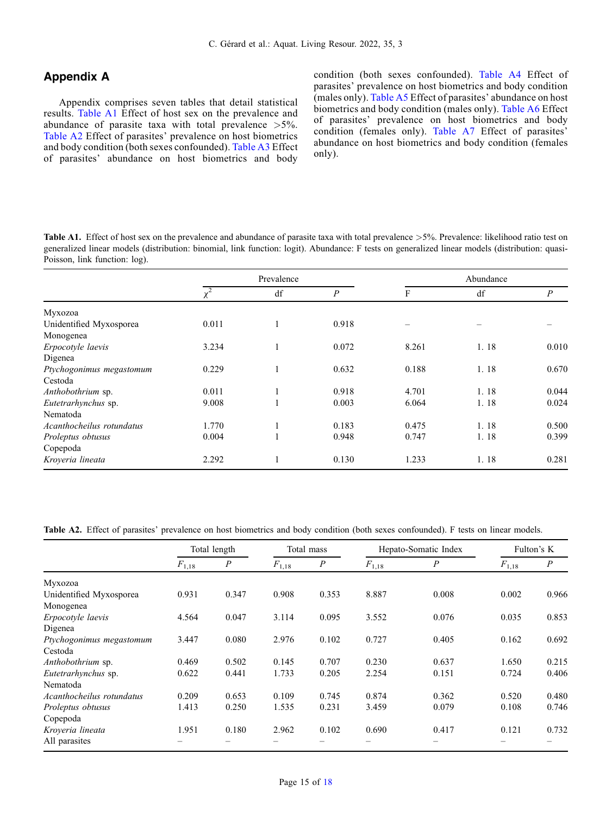# Appendix A

Appendix comprises seven tables that detail statistical results. Table A1 Effect of host sex on the prevalence and abundance of parasite taxa with total prevalence >5%. Table A2 Effect of parasites' prevalence on host biometrics and body condition (both sexes confounded). [Table A3](#page-15-0) Effect of parasites' abundance on host biometrics and body condition (both sexes confounded). [Table A4](#page-15-0) Effect of parasites' prevalence on host biometrics and body condition (males only). [Table A5](#page-16-0) Effect of parasites' abundance on host biometrics and body condition (males only). [Table A6](#page-16-0) Effect of parasites' prevalence on host biometrics and body condition (females only). [Table A7](#page-17-0) Effect of parasites' abundance on host biometrics and body condition (females only).

Table A1. Effect of host sex on the prevalence and abundance of parasite taxa with total prevalence  $>5\%$ . Prevalence: likelihood ratio test on generalized linear models (distribution: binomial, link function: logit). Abundance: F tests on generalized linear models (distribution: quasi-Poisson, link function: log).

|                           |                     | Prevalence |                  |       | Abundance |                  |
|---------------------------|---------------------|------------|------------------|-------|-----------|------------------|
|                           | $\overline{\chi^2}$ | df         | $\boldsymbol{P}$ | F     | df        | $\boldsymbol{P}$ |
| Myxozoa                   |                     |            |                  |       |           |                  |
| Unidentified Myxosporea   | 0.011               |            | 0.918            |       |           |                  |
| Monogenea                 |                     |            |                  |       |           |                  |
| Erpocotyle laevis         | 3.234               |            | 0.072            | 8.261 | 1.18      | 0.010            |
| Digenea                   |                     |            |                  |       |           |                  |
| Ptychogonimus megastomum  | 0.229               |            | 0.632            | 0.188 | 1.18      | 0.670            |
| Cestoda                   |                     |            |                  |       |           |                  |
| Anthobothrium sp.         | 0.011               |            | 0.918            | 4.701 | 1.18      | 0.044            |
| Eutetrarhynchus sp.       | 9.008               |            | 0.003            | 6.064 | 1.18      | 0.024            |
| Nematoda                  |                     |            |                  |       |           |                  |
| Acanthocheilus rotundatus | 1.770               |            | 0.183            | 0.475 | 1.18      | 0.500            |
| Proleptus obtusus         | 0.004               |            | 0.948            | 0.747 | 1.18      | 0.399            |
| Copepoda                  |                     |            |                  |       |           |                  |
| Kroyeria lineata          | 2.292               |            | 0.130            | 1.233 | 1.18      | 0.281            |

Table A2. Effect of parasites' prevalence on host biometrics and body condition (both sexes confounded). F tests on linear models.

|                           |            | Total length     |            | Total mass |            | Hepato-Somatic Index |            | Fulton's K       |
|---------------------------|------------|------------------|------------|------------|------------|----------------------|------------|------------------|
|                           | $F_{1,18}$ | $\boldsymbol{P}$ | $F_{1,18}$ | P          | $F_{1,18}$ | $\overline{P}$       | $F_{1,18}$ | $\boldsymbol{P}$ |
| Myxozoa                   |            |                  |            |            |            |                      |            |                  |
| Unidentified Myxosporea   | 0.931      | 0.347            | 0.908      | 0.353      | 8.887      | 0.008                | 0.002      | 0.966            |
| Monogenea                 |            |                  |            |            |            |                      |            |                  |
| Erpocotyle laevis         | 4.564      | 0.047            | 3.114      | 0.095      | 3.552      | 0.076                | 0.035      | 0.853            |
| Digenea                   |            |                  |            |            |            |                      |            |                  |
| Ptychogonimus megastomum  | 3.447      | 0.080            | 2.976      | 0.102      | 0.727      | 0.405                | 0.162      | 0.692            |
| Cestoda                   |            |                  |            |            |            |                      |            |                  |
| Anthobothrium sp.         | 0.469      | 0.502            | 0.145      | 0.707      | 0.230      | 0.637                | 1.650      | 0.215            |
| Eutetrarhynchus sp.       | 0.622      | 0.441            | 1.733      | 0.205      | 2.254      | 0.151                | 0.724      | 0.406            |
| Nematoda                  |            |                  |            |            |            |                      |            |                  |
| Acanthocheilus rotundatus | 0.209      | 0.653            | 0.109      | 0.745      | 0.874      | 0.362                | 0.520      | 0.480            |
| Proleptus obtusus         | 1.413      | 0.250            | 1.535      | 0.231      | 3.459      | 0.079                | 0.108      | 0.746            |
| Copepoda                  |            |                  |            |            |            |                      |            |                  |
| Kroyeria lineata          | 1.951      | 0.180            | 2.962      | 0.102      | 0.690      | 0.417                | 0.121      | 0.732            |
| All parasites             |            |                  |            |            |            |                      |            |                  |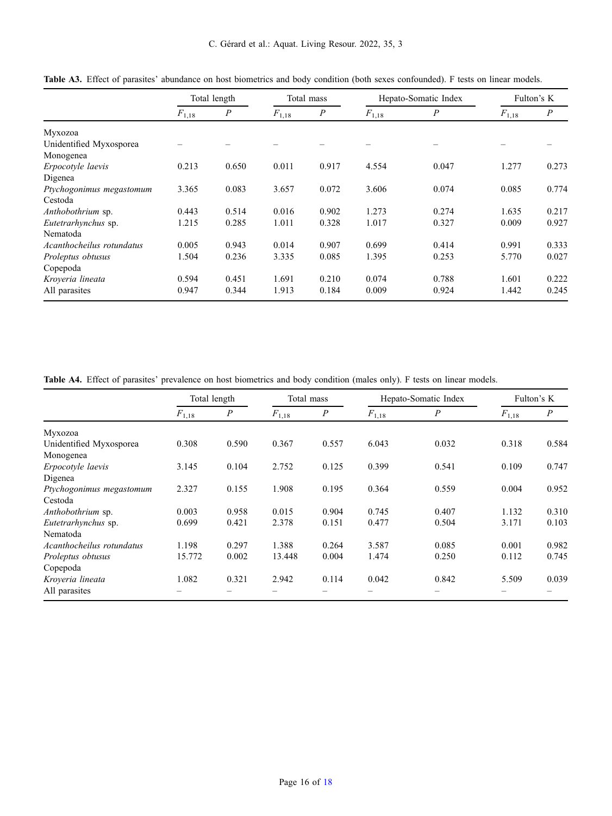C. Gérard et al.: Aquat. Living Resour. 2022, 35, 3

|                           |            | Total length     |            | Total mass |            | Hepato-Somatic Index |            | Fulton's K       |
|---------------------------|------------|------------------|------------|------------|------------|----------------------|------------|------------------|
|                           | $F_{1,18}$ | $\boldsymbol{P}$ | $F_{1,18}$ | P          | $F_{1,18}$ | $\boldsymbol{P}$     | $F_{1,18}$ | $\boldsymbol{P}$ |
| Myxozoa                   |            |                  |            |            |            |                      |            |                  |
| Unidentified Myxosporea   |            |                  |            |            |            |                      |            |                  |
| Monogenea                 |            |                  |            |            |            |                      |            |                  |
| Erpocotyle laevis         | 0.213      | 0.650            | 0.011      | 0.917      | 4.554      | 0.047                | 1.277      | 0.273            |
| Digenea                   |            |                  |            |            |            |                      |            |                  |
| Ptychogonimus megastomum  | 3.365      | 0.083            | 3.657      | 0.072      | 3.606      | 0.074                | 0.085      | 0.774            |
| Cestoda                   |            |                  |            |            |            |                      |            |                  |
| Anthobothrium sp.         | 0.443      | 0.514            | 0.016      | 0.902      | 1.273      | 0.274                | 1.635      | 0.217            |
| Eutetrarhynchus sp.       | 1.215      | 0.285            | 1.011      | 0.328      | 1.017      | 0.327                | 0.009      | 0.927            |
| Nematoda                  |            |                  |            |            |            |                      |            |                  |
| Acanthocheilus rotundatus | 0.005      | 0.943            | 0.014      | 0.907      | 0.699      | 0.414                | 0.991      | 0.333            |
| Proleptus obtusus         | 1.504      | 0.236            | 3.335      | 0.085      | 1.395      | 0.253                | 5.770      | 0.027            |
| Copepoda                  |            |                  |            |            |            |                      |            |                  |
| Kroveria lineata          | 0.594      | 0.451            | 1.691      | 0.210      | 0.074      | 0.788                | 1.601      | 0.222            |
| All parasites             | 0.947      | 0.344            | 1.913      | 0.184      | 0.009      | 0.924                | 1.442      | 0.245            |

<span id="page-15-0"></span>Table A3. Effect of parasites' abundance on host biometrics and body condition (both sexes confounded). F tests on linear models.

Table A4. Effect of parasites' prevalence on host biometrics and body condition (males only). F tests on linear models.

|                           | Total length |                  | Total mass |                  |            | Hepato-Somatic Index |            | Fulton's K       |
|---------------------------|--------------|------------------|------------|------------------|------------|----------------------|------------|------------------|
|                           | $F_{1,18}$   | $\boldsymbol{P}$ | $F_{1,18}$ | $\boldsymbol{P}$ | $F_{1,18}$ | $\boldsymbol{P}$     | $F_{1,18}$ | $\boldsymbol{P}$ |
| Myxozoa                   |              |                  |            |                  |            |                      |            |                  |
| Unidentified Myxosporea   | 0.308        | 0.590            | 0.367      | 0.557            | 6.043      | 0.032                | 0.318      | 0.584            |
| Monogenea                 |              |                  |            |                  |            |                      |            |                  |
| Erpocotyle laevis         | 3.145        | 0.104            | 2.752      | 0.125            | 0.399      | 0.541                | 0.109      | 0.747            |
| Digenea                   |              |                  |            |                  |            |                      |            |                  |
| Ptychogonimus megastomum  | 2.327        | 0.155            | 1.908      | 0.195            | 0.364      | 0.559                | 0.004      | 0.952            |
| Cestoda                   |              |                  |            |                  |            |                      |            |                  |
| Anthobothrium sp.         | 0.003        | 0.958            | 0.015      | 0.904            | 0.745      | 0.407                | 1.132      | 0.310            |
| Eutetrarhynchus sp.       | 0.699        | 0.421            | 2.378      | 0.151            | 0.477      | 0.504                | 3.171      | 0.103            |
| Nematoda                  |              |                  |            |                  |            |                      |            |                  |
| Acanthocheilus rotundatus | 1.198        | 0.297            | 1.388      | 0.264            | 3.587      | 0.085                | 0.001      | 0.982            |
| Proleptus obtusus         | 15.772       | 0.002            | 13.448     | 0.004            | 1.474      | 0.250                | 0.112      | 0.745            |
| Copepoda                  |              |                  |            |                  |            |                      |            |                  |
| Kroveria lineata          | 1.082        | 0.321            | 2.942      | 0.114            | 0.042      | 0.842                | 5.509      | 0.039            |
| All parasites             |              |                  |            |                  |            |                      |            |                  |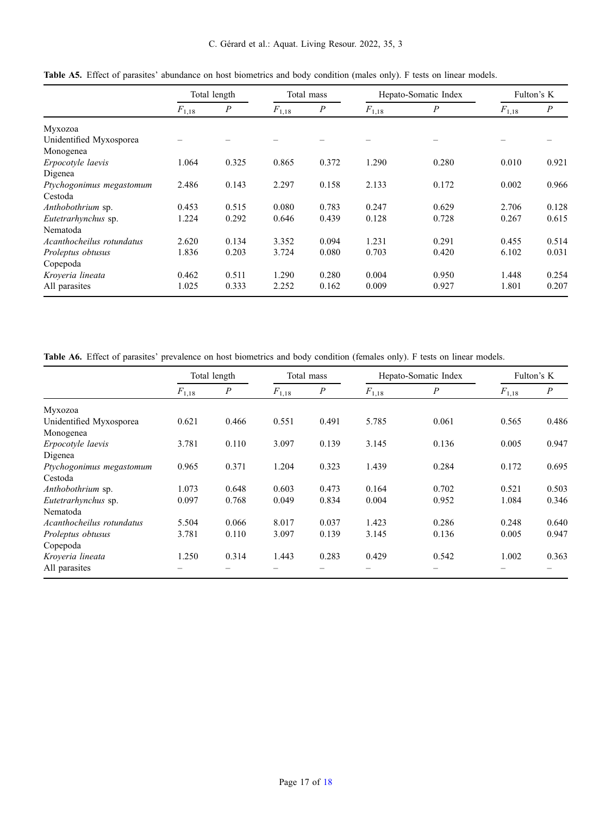C. Gérard et al.: Aquat. Living Resour. 2022, 35, 3

|                           |            | Total length     |            | Total mass       |            | Hepato-Somatic Index |            | Fulton's K       |
|---------------------------|------------|------------------|------------|------------------|------------|----------------------|------------|------------------|
|                           | $F_{1,18}$ | $\boldsymbol{P}$ | $F_{1,18}$ | $\boldsymbol{P}$ | $F_{1,18}$ | $\boldsymbol{P}$     | $F_{1,18}$ | $\boldsymbol{P}$ |
| Myxozoa                   |            |                  |            |                  |            |                      |            |                  |
| Unidentified Myxosporea   |            |                  |            |                  |            |                      |            |                  |
| Monogenea                 |            |                  |            |                  |            |                      |            |                  |
| Erpocotyle laevis         | 1.064      | 0.325            | 0.865      | 0.372            | 1.290      | 0.280                | 0.010      | 0.921            |
| Digenea                   |            |                  |            |                  |            |                      |            |                  |
| Ptychogonimus megastomum  | 2.486      | 0.143            | 2.297      | 0.158            | 2.133      | 0.172                | 0.002      | 0.966            |
| Cestoda                   |            |                  |            |                  |            |                      |            |                  |
| Anthobothrium sp.         | 0.453      | 0.515            | 0.080      | 0.783            | 0.247      | 0.629                | 2.706      | 0.128            |
| Eutetrarhynchus sp.       | 1.224      | 0.292            | 0.646      | 0.439            | 0.128      | 0.728                | 0.267      | 0.615            |
| Nematoda                  |            |                  |            |                  |            |                      |            |                  |
| Acanthocheilus rotundatus | 2.620      | 0.134            | 3.352      | 0.094            | 1.231      | 0.291                | 0.455      | 0.514            |
| Proleptus obtusus         | 1.836      | 0.203            | 3.724      | 0.080            | 0.703      | 0.420                | 6.102      | 0.031            |
| Copepoda                  |            |                  |            |                  |            |                      |            |                  |
| Kroveria lineata          | 0.462      | 0.511            | 1.290      | 0.280            | 0.004      | 0.950                | 1.448      | 0.254            |
| All parasites             | 1.025      | 0.333            | 2.252      | 0.162            | 0.009      | 0.927                | 1.801      | 0.207            |

<span id="page-16-0"></span>Table A5. Effect of parasites' abundance on host biometrics and body condition (males only). F tests on linear models.

Table A6. Effect of parasites' prevalence on host biometrics and body condition (females only). F tests on linear models.

|                           |            | Total length     |            | Total mass       |            | Hepato-Somatic Index |            | Fulton's K |
|---------------------------|------------|------------------|------------|------------------|------------|----------------------|------------|------------|
|                           | $F_{1,18}$ | $\boldsymbol{P}$ | $F_{1,18}$ | $\boldsymbol{P}$ | $F_{1,18}$ | $\boldsymbol{P}$     | $F_{1,18}$ | P          |
| Myxozoa                   |            |                  |            |                  |            |                      |            |            |
| Unidentified Myxosporea   | 0.621      | 0.466            | 0.551      | 0.491            | 5.785      | 0.061                | 0.565      | 0.486      |
| Monogenea                 |            |                  |            |                  |            |                      |            |            |
| Erpocotyle laevis         | 3.781      | 0.110            | 3.097      | 0.139            | 3.145      | 0.136                | 0.005      | 0.947      |
| Digenea                   |            |                  |            |                  |            |                      |            |            |
| Ptychogonimus megastomum  | 0.965      | 0.371            | 1.204      | 0.323            | 1.439      | 0.284                | 0.172      | 0.695      |
| Cestoda                   |            |                  |            |                  |            |                      |            |            |
| <i>Anthobothrium</i> sp.  | 1.073      | 0.648            | 0.603      | 0.473            | 0.164      | 0.702                | 0.521      | 0.503      |
| Eutetrarhynchus sp.       | 0.097      | 0.768            | 0.049      | 0.834            | 0.004      | 0.952                | 1.084      | 0.346      |
| Nematoda                  |            |                  |            |                  |            |                      |            |            |
| Acanthocheilus rotundatus | 5.504      | 0.066            | 8.017      | 0.037            | 1.423      | 0.286                | 0.248      | 0.640      |
| Proleptus obtusus         | 3.781      | 0.110            | 3.097      | 0.139            | 3.145      | 0.136                | 0.005      | 0.947      |
| Copepoda                  |            |                  |            |                  |            |                      |            |            |
| Kroveria lineata          | 1.250      | 0.314            | 1.443      | 0.283            | 0.429      | 0.542                | 1.002      | 0.363      |
| All parasites             |            |                  |            |                  |            |                      |            |            |